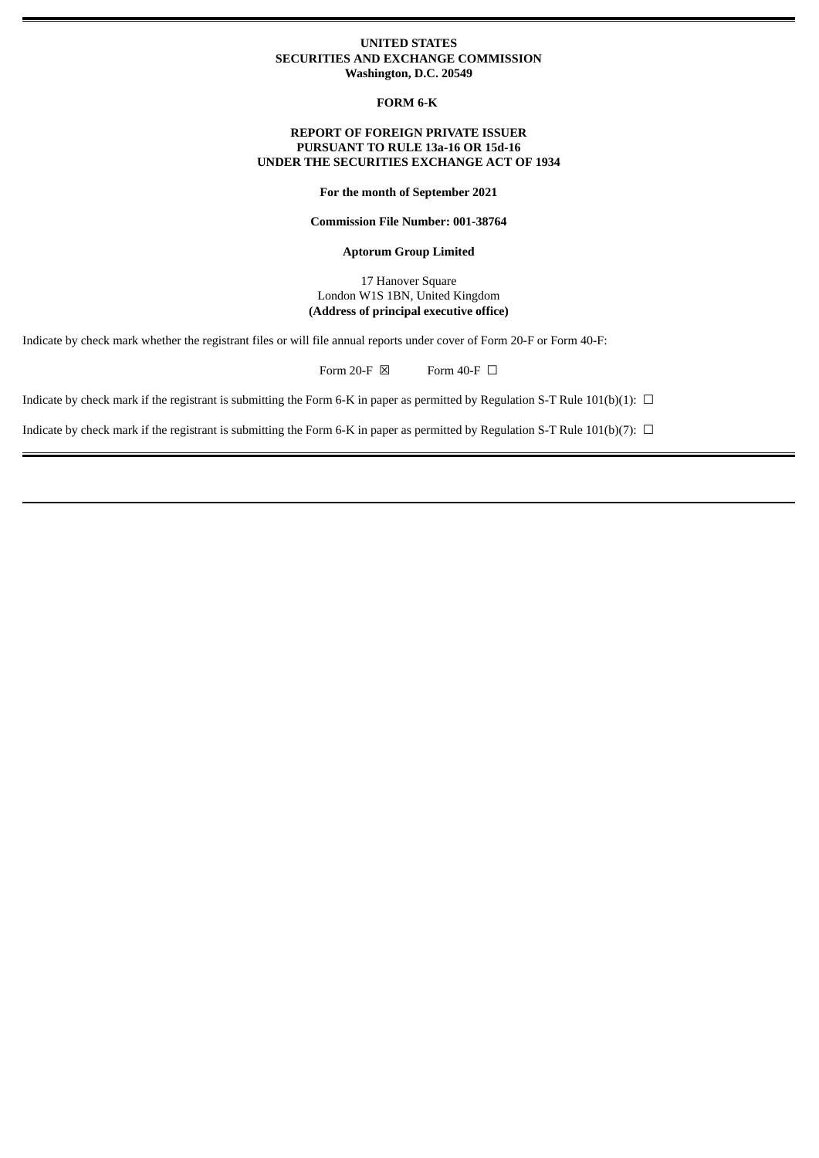### **UNITED STATES SECURITIES AND EXCHANGE COMMISSION Washington, D.C. 20549**

**FORM 6-K**

### **REPORT OF FOREIGN PRIVATE ISSUER PURSUANT TO RULE 13a-16 OR 15d-16 UNDER THE SECURITIES EXCHANGE ACT OF 1934**

**For the month of September 2021**

**Commission File Number: 001-38764**

**Aptorum Group Limited**

17 Hanover Square London W1S 1BN, United Kingdom **(Address of principal executive office)**

Indicate by check mark whether the registrant files or will file annual reports under cover of Form 20-F or Form 40-F:

Form 20-F  $\boxtimes$  Form 40-F  $\Box$ 

Indicate by check mark if the registrant is submitting the Form 6-K in paper as permitted by Regulation S-T Rule 101(b)(1):  $\Box$ 

Indicate by check mark if the registrant is submitting the Form 6-K in paper as permitted by Regulation S-T Rule 101(b)(7):  $\Box$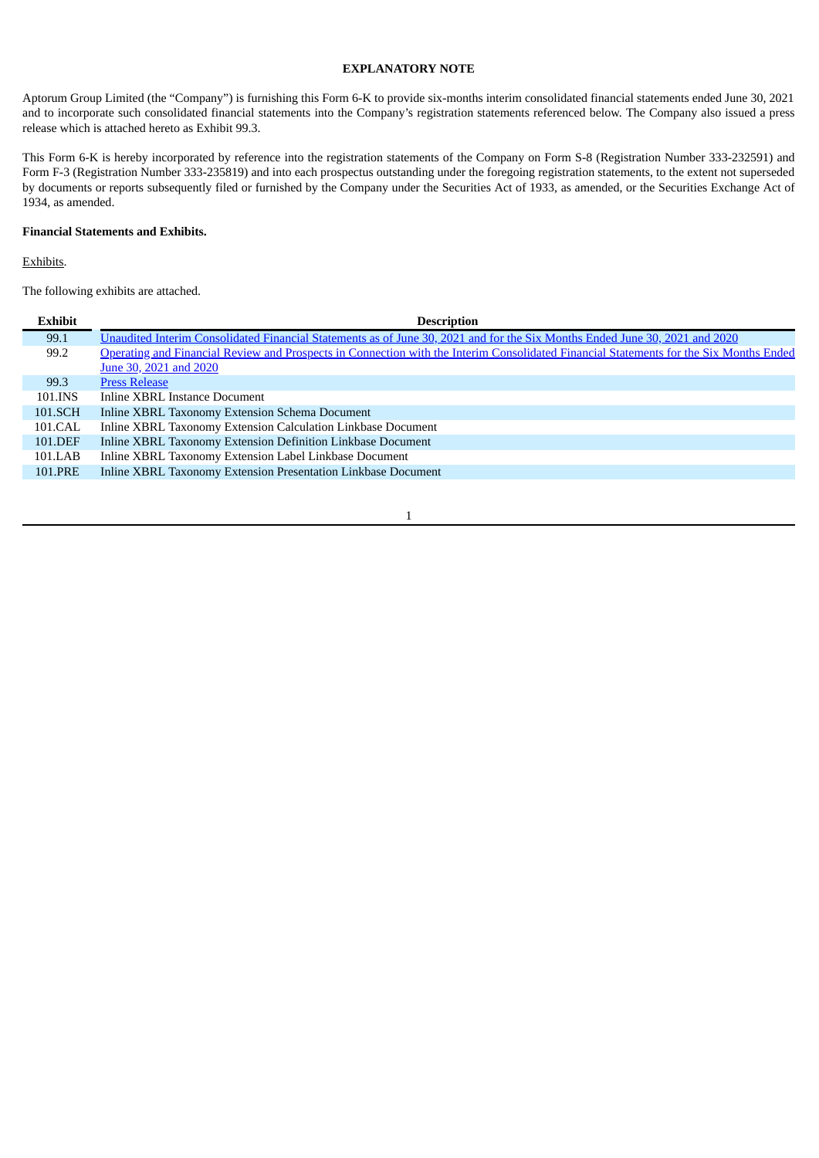### **EXPLANATORY NOTE**

Aptorum Group Limited (the "Company") is furnishing this Form 6-K to provide six-months interim consolidated financial statements ended June 30, 2021 and to incorporate such consolidated financial statements into the Company's registration statements referenced below. The Company also issued a press release which is attached hereto as Exhibit 99.3.

This Form 6-K is hereby incorporated by reference into the registration statements of the Company on Form S-8 (Registration Number 333-232591) and Form F-3 (Registration Number 333-235819) and into each prospectus outstanding under the foregoing registration statements, to the extent not superseded by documents or reports subsequently filed or furnished by the Company under the Securities Act of 1933, as amended, or the Securities Exchange Act of 1934, as amended.

### **Financial Statements and Exhibits.**

Exhibits.

The following exhibits are attached.

| Exhibit | <b>Description</b>                                                                                                                     |
|---------|----------------------------------------------------------------------------------------------------------------------------------------|
| 99.1    | Unaudited Interim Consolidated Financial Statements as of June 30, 2021 and for the Six Months Ended June 30, 2021 and 2020            |
| 99.2    | Operating and Financial Review and Prospects in Connection with the Interim Consolidated Financial Statements for the Six Months Ended |
|         | June 30, 2021 and 2020                                                                                                                 |
| 99.3    | <b>Press Release</b>                                                                                                                   |
| 101.INS | Inline XBRL Instance Document                                                                                                          |
| 101.SCH | Inline XBRL Taxonomy Extension Schema Document                                                                                         |
| 101.CAL | Inline XBRL Taxonomy Extension Calculation Linkbase Document                                                                           |
| 101.DEF | Inline XBRL Taxonomy Extension Definition Linkbase Document                                                                            |
| 101.LAB | Inline XBRL Taxonomy Extension Label Linkbase Document                                                                                 |
| 101.PRE | Inline XBRL Taxonomy Extension Presentation Linkbase Document                                                                          |
|         |                                                                                                                                        |

#### 1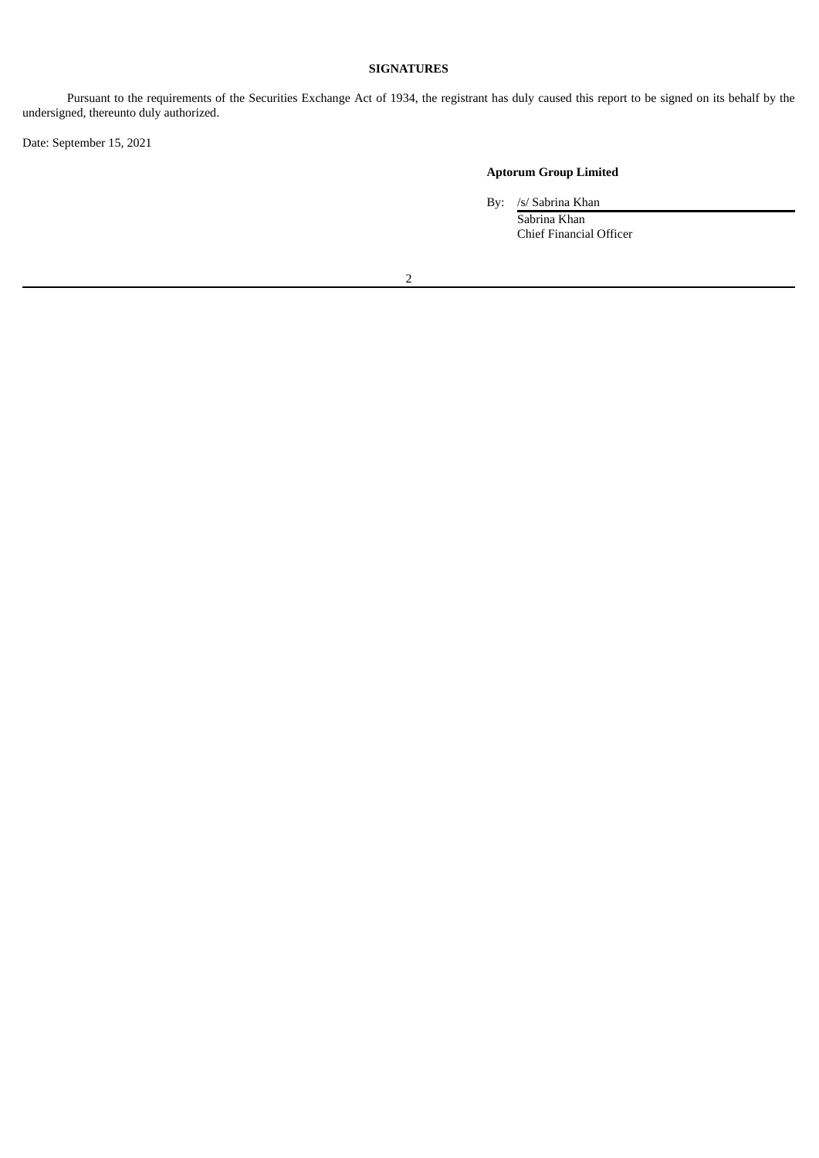## **SIGNATURES**

Pursuant to the requirements of the Securities Exchange Act of 1934, the registrant has duly caused this report to be signed on its behalf by the undersigned, thereunto duly authorized.

Date: September 15, 2021

## **Aptorum Group Limited**

By: /s/ Sabrina Khan

Sabrina Khan Chief Financial Officer

2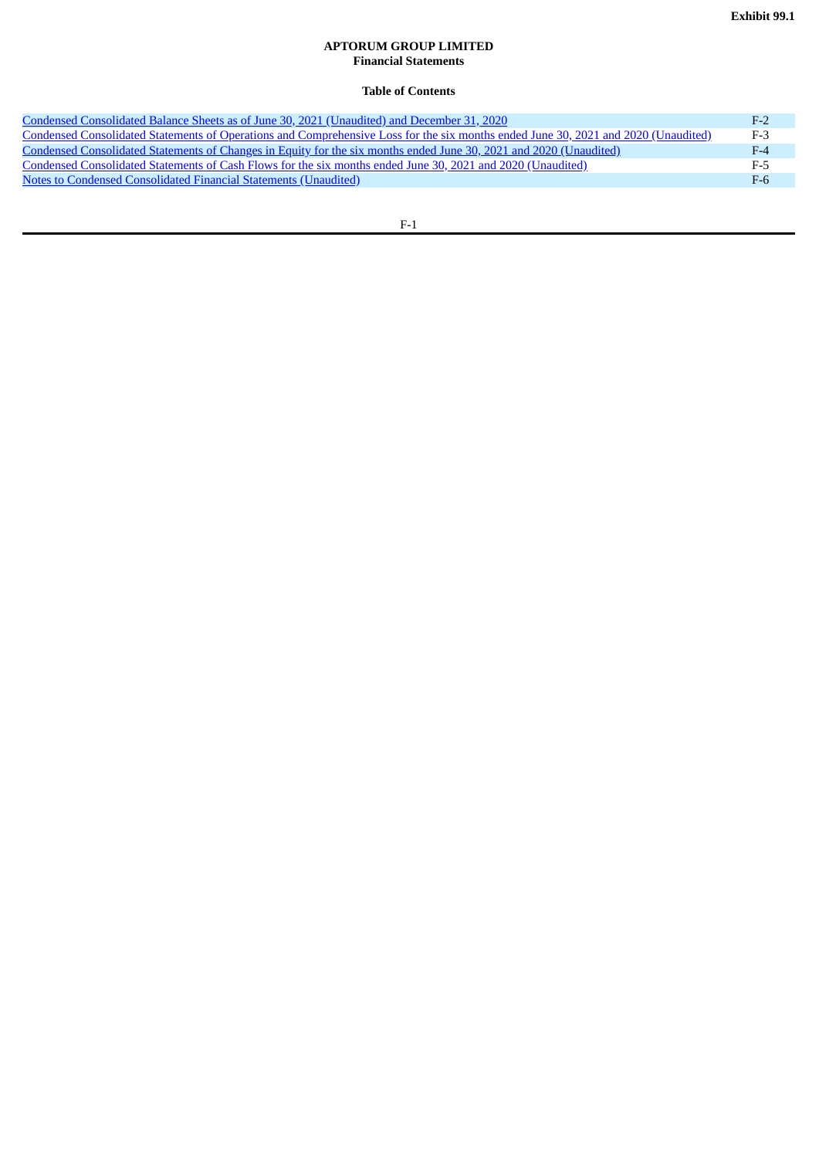### **APTORUM GROUP LIMITED Financial Statements**

## **Table of Contents**

<span id="page-3-0"></span>

| Condensed Consolidated Balance Sheets as of June 30, 2021 (Unaudited) and December 31, 2020                                        | $F-2$ |
|------------------------------------------------------------------------------------------------------------------------------------|-------|
| Condensed Consolidated Statements of Operations and Comprehensive Loss for the six months ended June 30, 2021 and 2020 (Unaudited) | $F-3$ |
| Condensed Consolidated Statements of Changes in Equity for the six months ended June 30, 2021 and 2020 (Unaudited)                 | $F-4$ |
| Condensed Consolidated Statements of Cash Flows for the six months ended June 30, 2021 and 2020 (Unaudited)                        | F-5   |
| Notes to Condensed Consolidated Financial Statements (Unaudited)                                                                   | $F-6$ |
|                                                                                                                                    |       |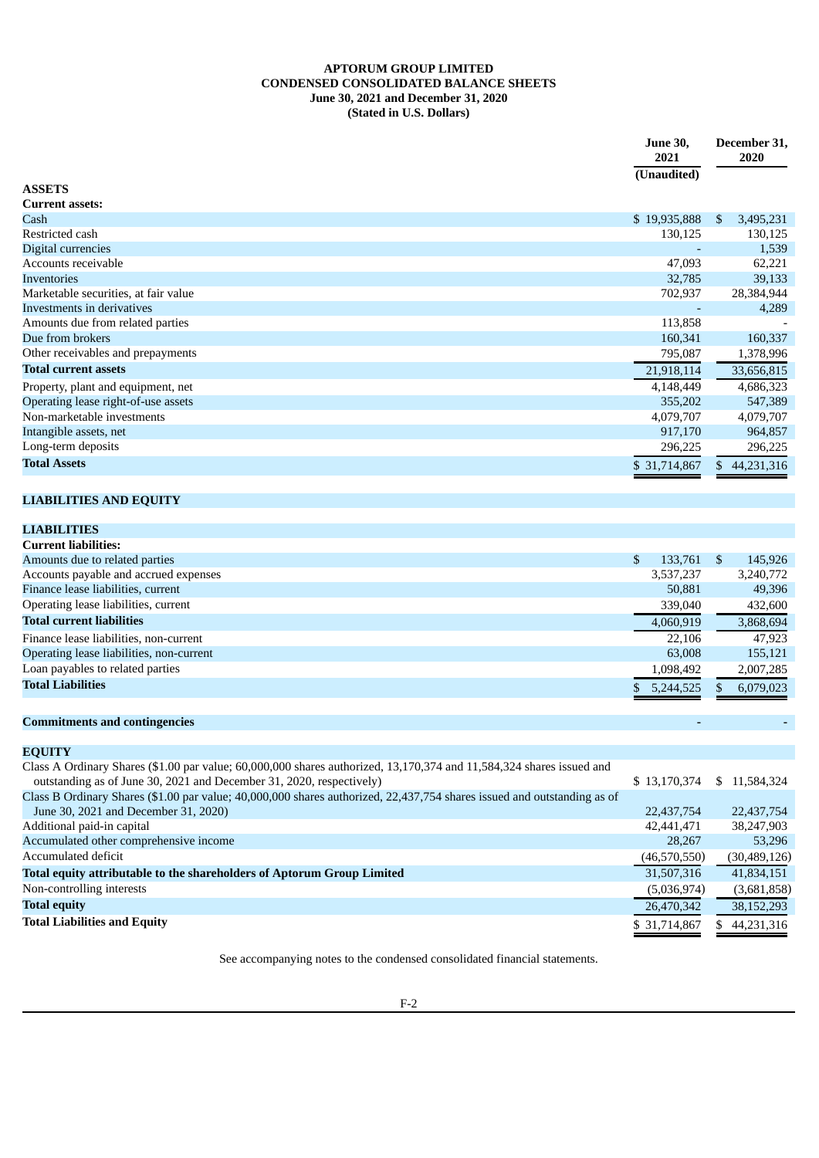### **APTORUM GROUP LIMITED CONDENSED CONSOLIDATED BALANCE SHEETS June 30, 2021 and December 31, 2020 (Stated in U.S. Dollars)**

<span id="page-4-0"></span>

|                                      | <b>June 30,</b><br>2021 | December 31,<br>2020 |
|--------------------------------------|-------------------------|----------------------|
|                                      | (Unaudited)             |                      |
| <b>ASSETS</b>                        |                         |                      |
| <b>Current assets:</b>               |                         |                      |
| Cash                                 | \$19,935,888            | 3,495,231<br>S.      |
| Restricted cash                      | 130,125                 | 130,125              |
| Digital currencies                   |                         | 1,539                |
| Accounts receivable                  | 47,093                  | 62,221               |
| <b>Inventories</b>                   | 32,785                  | 39,133               |
| Marketable securities, at fair value | 702,937                 | 28,384,944           |
| Investments in derivatives           |                         | 4,289                |
| Amounts due from related parties     | 113,858                 |                      |
| Due from brokers                     | 160,341                 | 160,337              |
| Other receivables and prepayments    | 795,087                 | 1,378,996            |
| <b>Total current assets</b>          | 21,918,114              | 33,656,815           |
| Property, plant and equipment, net   | 4,148,449               | 4,686,323            |
| Operating lease right-of-use assets  | 355,202                 | 547,389              |
| Non-marketable investments           | 4,079,707               | 4,079,707            |
| Intangible assets, net               | 917,170                 | 964,857              |
| Long-term deposits                   | 296,225                 | 296,225              |
| <b>Total Assets</b>                  | \$31,714,867            | 44,231,316           |
|                                      |                         |                      |

# **LIABILITIES AND EQUITY**

| <b>LIABILITIES</b>                       |     |           |      |           |
|------------------------------------------|-----|-----------|------|-----------|
| <b>Current liabilities:</b>              |     |           |      |           |
| Amounts due to related parties           | \$. | 133,761   | - \$ | 145,926   |
| Accounts payable and accrued expenses    |     | 3,537,237 |      | 3,240,772 |
| Finance lease liabilities, current       |     | 50,881    |      | 49,396    |
| Operating lease liabilities, current     |     | 339,040   |      | 432,600   |
| <b>Total current liabilities</b>         |     | 4,060,919 |      | 3,868,694 |
| Finance lease liabilities, non-current   |     | 22,106    |      | 47.923    |
| Operating lease liabilities, non-current |     | 63,008    |      | 155,121   |
| Loan payables to related parties         |     | 1,098,492 |      | 2,007,285 |
| <b>Total Liabilities</b>                 |     | 5,244,525 |      | 6,079,023 |

## **Commitments and contingencies - -**

| <b>EQUITY</b>                                                                                                           |              |               |
|-------------------------------------------------------------------------------------------------------------------------|--------------|---------------|
| Class A Ordinary Shares (\$1.00 par value; 60,000,000 shares authorized, 13,170,374 and 11,584,324 shares issued and    |              |               |
| outstanding as of June 30, 2021 and December 31, 2020, respectively)                                                    | \$13,170,374 | \$ 11,584,324 |
| Class B Ordinary Shares (\$1.00 par value; 40,000,000 shares authorized, 22,437,754 shares issued and outstanding as of |              |               |
| June 30, 2021 and December 31, 2020)                                                                                    | 22,437,754   | 22,437,754    |
| Additional paid-in capital                                                                                              | 42,441,471   | 38,247,903    |
| Accumulated other comprehensive income                                                                                  | 28,267       | 53.296        |
| Accumulated deficit                                                                                                     | (46,570,550) | (30,489,126)  |
| Total equity attributable to the shareholders of Aptorum Group Limited                                                  | 31,507,316   | 41,834,151    |
| Non-controlling interests                                                                                               | (5,036,974)  | (3,681,858)   |
| <b>Total equity</b>                                                                                                     | 26,470,342   | 38,152,293    |
| <b>Total Liabilities and Equity</b>                                                                                     | \$31,714,867 | 44,231,316    |

See accompanying notes to the condensed consolidated financial statements.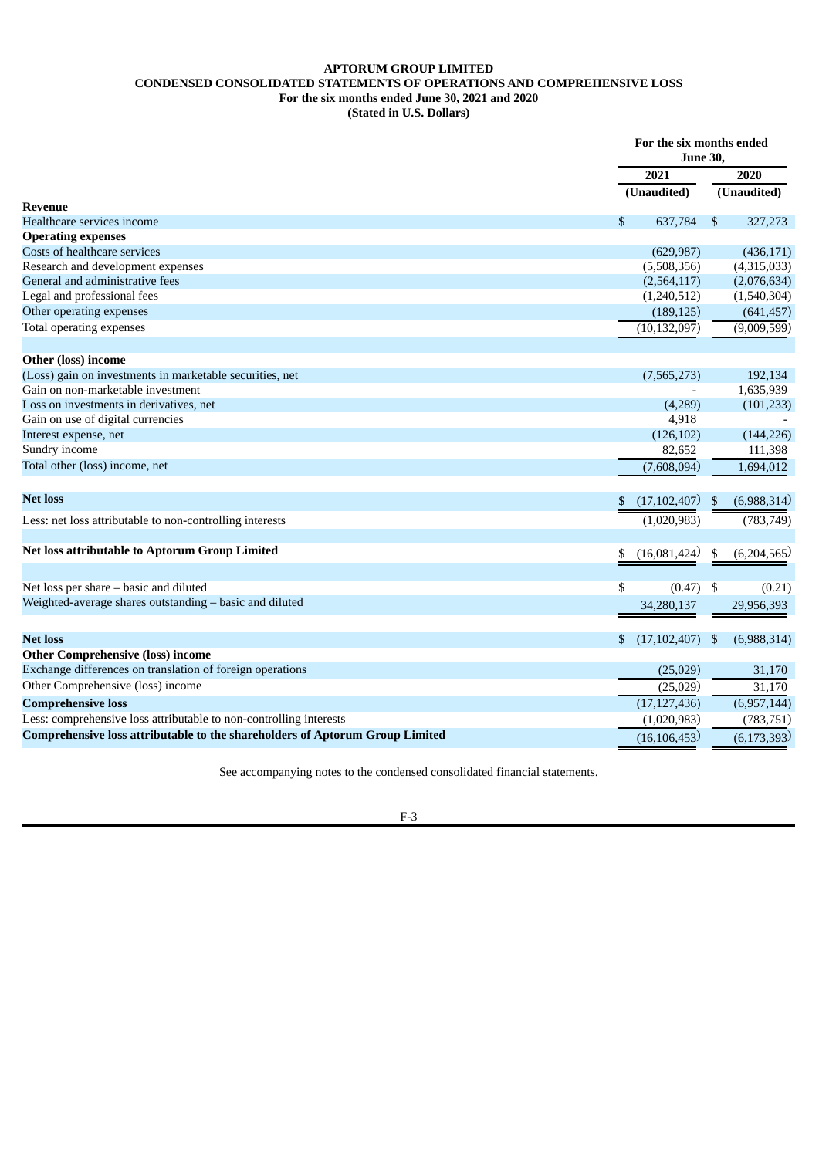### **APTORUM GROUP LIMITED CONDENSED CONSOLIDATED STATEMENTS OF OPERATIONS AND COMPREHENSIVE LOSS For the six months ended June 30, 2021 and 2020 (Stated in U.S. Dollars)**

<span id="page-5-0"></span>

|                                                                              | For the six months ended<br><b>June 30,</b> |     |               |
|------------------------------------------------------------------------------|---------------------------------------------|-----|---------------|
|                                                                              | 2021                                        |     | 2020          |
|                                                                              | (Unaudited)                                 |     | (Unaudited)   |
| <b>Revenue</b>                                                               |                                             |     |               |
| Healthcare services income                                                   | \$<br>637,784                               | \$  | 327,273       |
| <b>Operating expenses</b>                                                    |                                             |     |               |
| Costs of healthcare services                                                 | (629, 987)                                  |     | (436, 171)    |
| Research and development expenses                                            | (5,508,356)                                 |     | (4,315,033)   |
| General and administrative fees                                              | (2,564,117)                                 |     | (2,076,634)   |
| Legal and professional fees                                                  | (1,240,512)                                 |     | (1,540,304)   |
| Other operating expenses                                                     | (189, 125)                                  |     | (641, 457)    |
| Total operating expenses                                                     | (10, 132, 097)                              |     | (9,009,599)   |
| <b>Other (loss) income</b>                                                   |                                             |     |               |
| (Loss) gain on investments in marketable securities, net                     | (7,565,273)                                 |     | 192,134       |
| Gain on non-marketable investment                                            |                                             |     | 1,635,939     |
| Loss on investments in derivatives, net                                      | (4,289)                                     |     | (101, 233)    |
| Gain on use of digital currencies                                            | 4,918                                       |     |               |
| Interest expense, net                                                        | (126, 102)                                  |     | (144, 226)    |
| Sundry income                                                                | 82,652                                      |     | 111,398       |
| Total other (loss) income, net                                               | (7,608,094)                                 |     | 1,694,012     |
|                                                                              |                                             |     |               |
| <b>Net loss</b>                                                              | \$<br>(17, 102, 407)                        | \$  | (6,988,314)   |
| Less: net loss attributable to non-controlling interests                     | (1,020,983)                                 |     | (783, 749)    |
| Net loss attributable to Aptorum Group Limited                               | \$<br>(16,081,424)                          | \$  | (6,204,565)   |
|                                                                              |                                             |     |               |
| Net loss per share - basic and diluted                                       | \$<br>(0.47)                                | -\$ | (0.21)        |
| Weighted-average shares outstanding - basic and diluted                      | 34,280,137                                  |     | 29,956,393    |
| <b>Net loss</b>                                                              | \$<br>(17, 102, 407)                        | -\$ | (6,988,314)   |
| <b>Other Comprehensive (loss) income</b>                                     |                                             |     |               |
| Exchange differences on translation of foreign operations                    | (25,029)                                    |     | 31,170        |
| Other Comprehensive (loss) income                                            | (25,029)                                    |     | 31,170        |
| <b>Comprehensive loss</b>                                                    | (17, 127, 436)                              |     | (6,957,144)   |
| Less: comprehensive loss attributable to non-controlling interests           | (1,020,983)                                 |     | (783, 751)    |
| Comprehensive loss attributable to the shareholders of Aptorum Group Limited | (16, 106, 453)                              |     | (6, 173, 393) |

See accompanying notes to the condensed consolidated financial statements.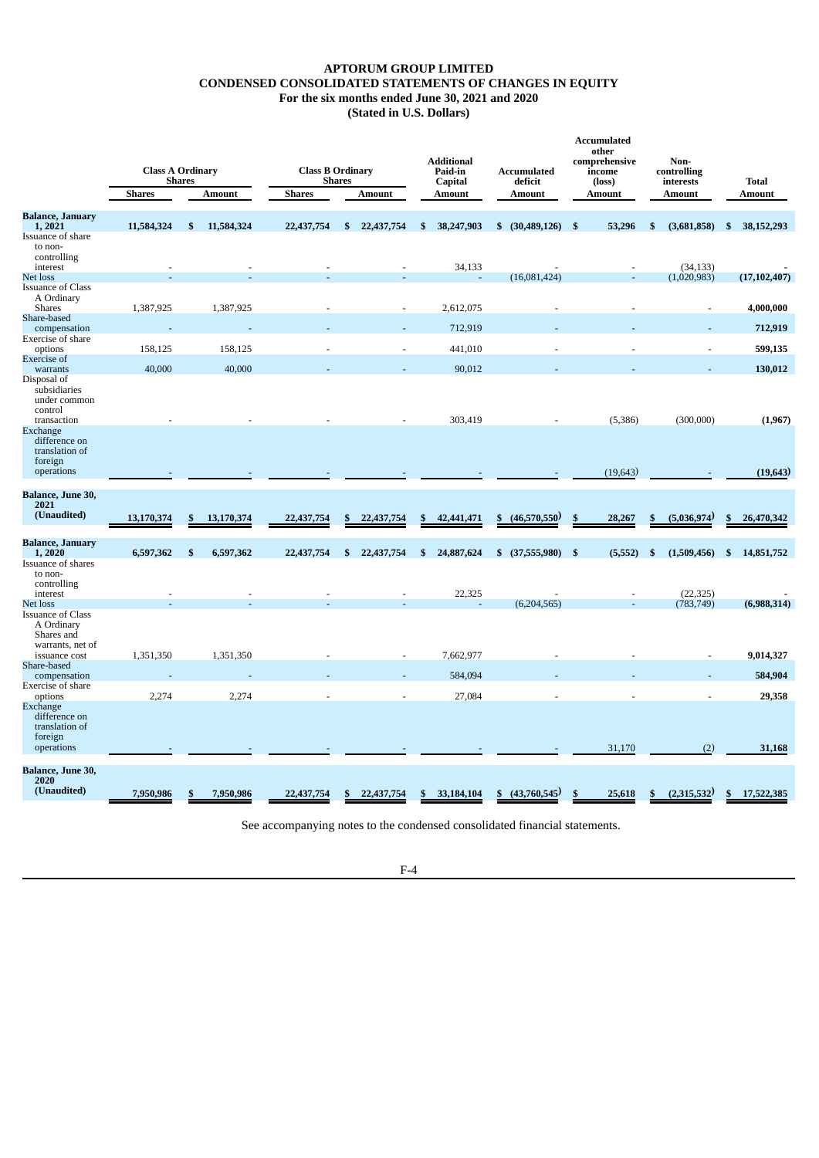### **APTORUM GROUP LIMITED CONDENSED CONSOLIDATED STATEMENTS OF CHANGES IN EQUITY For the six months ended June 30, 2021 and 2020 (Stated in U.S. Dollars)**

<span id="page-6-0"></span>

| <b>Balance, January</b><br>11,584,324<br>11,584,324<br>53,296<br>1,2021<br>\$.<br>22,437,754<br>\$<br>22,437,754<br>\$<br>38,247,903<br>$$^{(30,489,126)}$$<br>-\$<br>\$<br>(3,681,858)<br>S,<br>Issuance of share<br>to non-<br>controlling<br>34,133<br>interest<br>(34, 133)<br>(16,081,424)<br>(1,020,983)<br>Net loss<br><b>Issuance of Class</b><br>A Ordinary<br>1,387,925<br>1,387,925<br>2,612,075<br><b>Shares</b><br>$\overline{\phantom{a}}$<br>$\overline{\phantom{a}}$<br>Share-based<br>712,919<br>compensation<br>Exercise of share<br>158,125<br>158,125<br>441,010<br>options<br><b>Exercise</b> of<br>40,000<br>40,000<br>90,012<br>warrants<br>Disposal of<br>subsidiaries<br>under common<br>control<br>303,419<br>(300,000)<br>transaction<br>(5,386)<br>Exchange<br>difference on<br>translation of<br>foreign<br>operations<br>(19, 643)<br>Balance, June 30,<br>2021<br>(Unaudited)<br>(46,570,550)<br>13,170,374<br>13,170,374<br>22,437,754<br>28,267<br>(5,036,974)<br>22,437,754<br>42,441,471<br>$\mathbf{s}$<br>\$<br>\$<br>\$<br>S<br>S<br>\$<br><b>Balance, January</b><br>6,597,362<br>\$<br>6,597,362<br>22,437,754<br>\$<br>24,887,624<br>- \$<br>1,2020<br>\$<br>22,437,754<br>\$ (37,555,980)<br>(5, 552)<br>\$<br>(1,509,456)<br>S,<br>Issuance of shares<br>to non-<br>controlling<br>interest<br>22,325<br>(22, 325)<br>(6,204,565)<br>Net loss<br>(783, 749)<br><b>Issuance of Class</b><br>A Ordinary<br>Shares and<br>warrants, net of<br>1,351,350<br>1,351,350<br>7,662,977<br>issuance cost<br>Share-based<br>584,094<br>compensation<br>Exercise of share<br>2,274<br>2,274<br>27,084<br>options<br>Exchange<br>difference on<br>translation of<br>foreign<br>31,170<br>operations<br>(2)<br>Balance, June 30,<br>2020<br>(Unaudited)<br>(43,760,545)<br>(2,315,532)<br>7,950,986<br>7,950,986<br>22,437,754<br>22,437,754<br>33,184,104<br>25,618<br>\$<br>\$<br>S<br>\$ | <b>Class A Ordinary</b> | <b>Shares</b> |               | <b>Class B Ordinary</b> | <b>Shares</b> |               | <b>Additional</b><br>Paid-in<br>Capital | Accumulated<br>deficit | Accumulated<br>other<br>comprehensive<br>income<br>(loss) | Non-<br>controlling<br>interests | <b>Total</b>         |
|---------------------------------------------------------------------------------------------------------------------------------------------------------------------------------------------------------------------------------------------------------------------------------------------------------------------------------------------------------------------------------------------------------------------------------------------------------------------------------------------------------------------------------------------------------------------------------------------------------------------------------------------------------------------------------------------------------------------------------------------------------------------------------------------------------------------------------------------------------------------------------------------------------------------------------------------------------------------------------------------------------------------------------------------------------------------------------------------------------------------------------------------------------------------------------------------------------------------------------------------------------------------------------------------------------------------------------------------------------------------------------------------------------------------------------------------------------------------------------------------------------------------------------------------------------------------------------------------------------------------------------------------------------------------------------------------------------------------------------------------------------------------------------------------------------------------------------------------------------------------------------------------------------------------------|-------------------------|---------------|---------------|-------------------------|---------------|---------------|-----------------------------------------|------------------------|-----------------------------------------------------------|----------------------------------|----------------------|
|                                                                                                                                                                                                                                                                                                                                                                                                                                                                                                                                                                                                                                                                                                                                                                                                                                                                                                                                                                                                                                                                                                                                                                                                                                                                                                                                                                                                                                                                                                                                                                                                                                                                                                                                                                                                                                                                                                                           | <b>Shares</b>           |               | <b>Amount</b> | <b>Shares</b>           |               | <b>Amount</b> | <b>Amount</b>                           | <b>Amount</b>          | <b>Amount</b>                                             | <b>Amount</b>                    | <b>Amount</b>        |
|                                                                                                                                                                                                                                                                                                                                                                                                                                                                                                                                                                                                                                                                                                                                                                                                                                                                                                                                                                                                                                                                                                                                                                                                                                                                                                                                                                                                                                                                                                                                                                                                                                                                                                                                                                                                                                                                                                                           |                         |               |               |                         |               |               |                                         |                        |                                                           |                                  | 38, 152, 293         |
|                                                                                                                                                                                                                                                                                                                                                                                                                                                                                                                                                                                                                                                                                                                                                                                                                                                                                                                                                                                                                                                                                                                                                                                                                                                                                                                                                                                                                                                                                                                                                                                                                                                                                                                                                                                                                                                                                                                           |                         |               |               |                         |               |               |                                         |                        |                                                           |                                  |                      |
|                                                                                                                                                                                                                                                                                                                                                                                                                                                                                                                                                                                                                                                                                                                                                                                                                                                                                                                                                                                                                                                                                                                                                                                                                                                                                                                                                                                                                                                                                                                                                                                                                                                                                                                                                                                                                                                                                                                           |                         |               |               |                         |               |               |                                         |                        |                                                           |                                  | (17, 102, 407)       |
|                                                                                                                                                                                                                                                                                                                                                                                                                                                                                                                                                                                                                                                                                                                                                                                                                                                                                                                                                                                                                                                                                                                                                                                                                                                                                                                                                                                                                                                                                                                                                                                                                                                                                                                                                                                                                                                                                                                           |                         |               |               |                         |               |               |                                         |                        |                                                           |                                  | 4,000,000            |
|                                                                                                                                                                                                                                                                                                                                                                                                                                                                                                                                                                                                                                                                                                                                                                                                                                                                                                                                                                                                                                                                                                                                                                                                                                                                                                                                                                                                                                                                                                                                                                                                                                                                                                                                                                                                                                                                                                                           |                         |               |               |                         |               |               |                                         |                        |                                                           |                                  | 712,919              |
|                                                                                                                                                                                                                                                                                                                                                                                                                                                                                                                                                                                                                                                                                                                                                                                                                                                                                                                                                                                                                                                                                                                                                                                                                                                                                                                                                                                                                                                                                                                                                                                                                                                                                                                                                                                                                                                                                                                           |                         |               |               |                         |               |               |                                         |                        |                                                           |                                  | 599,135              |
|                                                                                                                                                                                                                                                                                                                                                                                                                                                                                                                                                                                                                                                                                                                                                                                                                                                                                                                                                                                                                                                                                                                                                                                                                                                                                                                                                                                                                                                                                                                                                                                                                                                                                                                                                                                                                                                                                                                           |                         |               |               |                         |               |               |                                         |                        |                                                           |                                  | 130,012              |
|                                                                                                                                                                                                                                                                                                                                                                                                                                                                                                                                                                                                                                                                                                                                                                                                                                                                                                                                                                                                                                                                                                                                                                                                                                                                                                                                                                                                                                                                                                                                                                                                                                                                                                                                                                                                                                                                                                                           |                         |               |               |                         |               |               |                                         |                        |                                                           |                                  |                      |
|                                                                                                                                                                                                                                                                                                                                                                                                                                                                                                                                                                                                                                                                                                                                                                                                                                                                                                                                                                                                                                                                                                                                                                                                                                                                                                                                                                                                                                                                                                                                                                                                                                                                                                                                                                                                                                                                                                                           |                         |               |               |                         |               |               |                                         |                        |                                                           |                                  | (1,967)<br>(19, 643) |
|                                                                                                                                                                                                                                                                                                                                                                                                                                                                                                                                                                                                                                                                                                                                                                                                                                                                                                                                                                                                                                                                                                                                                                                                                                                                                                                                                                                                                                                                                                                                                                                                                                                                                                                                                                                                                                                                                                                           |                         |               |               |                         |               |               |                                         |                        |                                                           |                                  |                      |
|                                                                                                                                                                                                                                                                                                                                                                                                                                                                                                                                                                                                                                                                                                                                                                                                                                                                                                                                                                                                                                                                                                                                                                                                                                                                                                                                                                                                                                                                                                                                                                                                                                                                                                                                                                                                                                                                                                                           |                         |               |               |                         |               |               |                                         |                        |                                                           |                                  | 26,470,342           |
|                                                                                                                                                                                                                                                                                                                                                                                                                                                                                                                                                                                                                                                                                                                                                                                                                                                                                                                                                                                                                                                                                                                                                                                                                                                                                                                                                                                                                                                                                                                                                                                                                                                                                                                                                                                                                                                                                                                           |                         |               |               |                         |               |               |                                         |                        |                                                           |                                  | 14,851,752           |
|                                                                                                                                                                                                                                                                                                                                                                                                                                                                                                                                                                                                                                                                                                                                                                                                                                                                                                                                                                                                                                                                                                                                                                                                                                                                                                                                                                                                                                                                                                                                                                                                                                                                                                                                                                                                                                                                                                                           |                         |               |               |                         |               |               |                                         |                        |                                                           |                                  |                      |
|                                                                                                                                                                                                                                                                                                                                                                                                                                                                                                                                                                                                                                                                                                                                                                                                                                                                                                                                                                                                                                                                                                                                                                                                                                                                                                                                                                                                                                                                                                                                                                                                                                                                                                                                                                                                                                                                                                                           |                         |               |               |                         |               |               |                                         |                        |                                                           |                                  | (6,988,314)          |
|                                                                                                                                                                                                                                                                                                                                                                                                                                                                                                                                                                                                                                                                                                                                                                                                                                                                                                                                                                                                                                                                                                                                                                                                                                                                                                                                                                                                                                                                                                                                                                                                                                                                                                                                                                                                                                                                                                                           |                         |               |               |                         |               |               |                                         |                        |                                                           |                                  |                      |
|                                                                                                                                                                                                                                                                                                                                                                                                                                                                                                                                                                                                                                                                                                                                                                                                                                                                                                                                                                                                                                                                                                                                                                                                                                                                                                                                                                                                                                                                                                                                                                                                                                                                                                                                                                                                                                                                                                                           |                         |               |               |                         |               |               |                                         |                        |                                                           |                                  | 9,014,327            |
|                                                                                                                                                                                                                                                                                                                                                                                                                                                                                                                                                                                                                                                                                                                                                                                                                                                                                                                                                                                                                                                                                                                                                                                                                                                                                                                                                                                                                                                                                                                                                                                                                                                                                                                                                                                                                                                                                                                           |                         |               |               |                         |               |               |                                         |                        |                                                           |                                  | 584,904              |
|                                                                                                                                                                                                                                                                                                                                                                                                                                                                                                                                                                                                                                                                                                                                                                                                                                                                                                                                                                                                                                                                                                                                                                                                                                                                                                                                                                                                                                                                                                                                                                                                                                                                                                                                                                                                                                                                                                                           |                         |               |               |                         |               |               |                                         |                        |                                                           |                                  | 29,358               |
|                                                                                                                                                                                                                                                                                                                                                                                                                                                                                                                                                                                                                                                                                                                                                                                                                                                                                                                                                                                                                                                                                                                                                                                                                                                                                                                                                                                                                                                                                                                                                                                                                                                                                                                                                                                                                                                                                                                           |                         |               |               |                         |               |               |                                         |                        |                                                           |                                  | 31,168               |
|                                                                                                                                                                                                                                                                                                                                                                                                                                                                                                                                                                                                                                                                                                                                                                                                                                                                                                                                                                                                                                                                                                                                                                                                                                                                                                                                                                                                                                                                                                                                                                                                                                                                                                                                                                                                                                                                                                                           |                         |               |               |                         |               |               |                                         |                        |                                                           |                                  |                      |
|                                                                                                                                                                                                                                                                                                                                                                                                                                                                                                                                                                                                                                                                                                                                                                                                                                                                                                                                                                                                                                                                                                                                                                                                                                                                                                                                                                                                                                                                                                                                                                                                                                                                                                                                                                                                                                                                                                                           |                         |               |               |                         |               |               |                                         |                        |                                                           |                                  | 17,522,385           |

See accompanying notes to the condensed consolidated financial statements.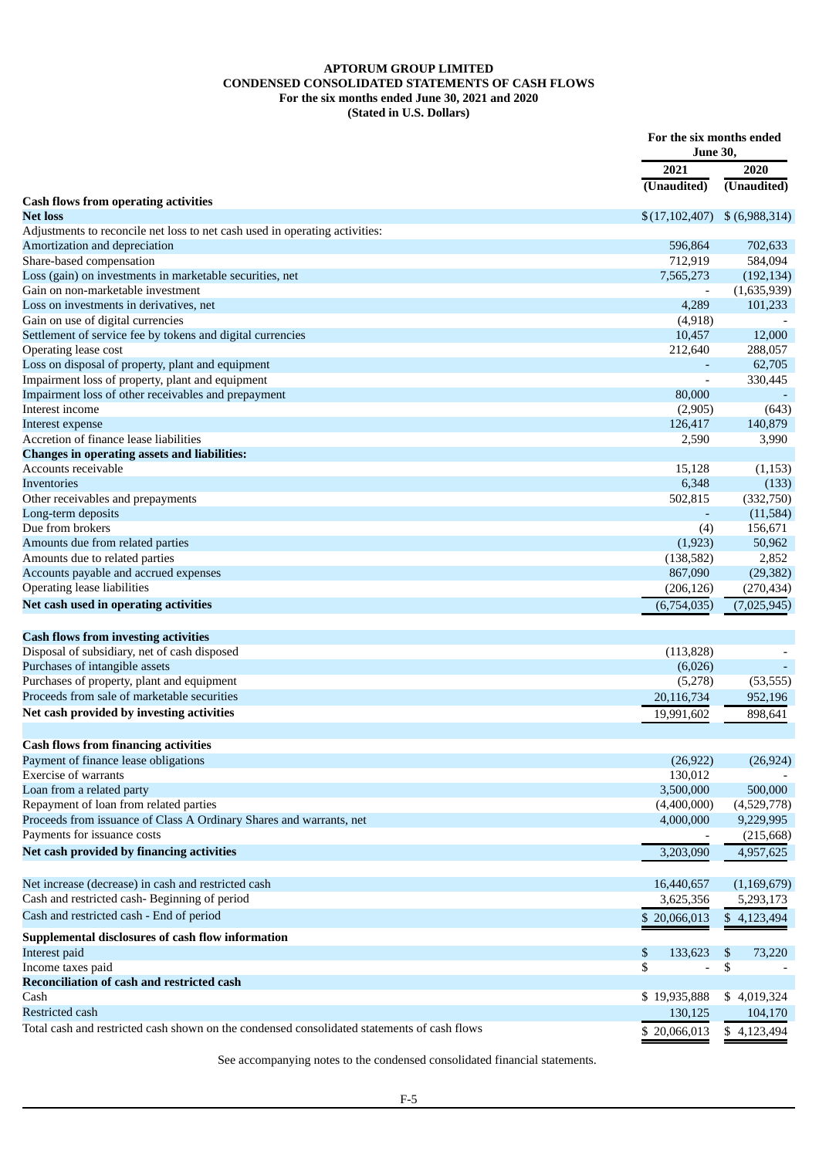### **APTORUM GROUP LIMITED CONDENSED CONSOLIDATED STATEMENTS OF CASH FLOWS For the six months ended June 30, 2021 and 2020 (Stated in U.S. Dollars)**

<span id="page-7-0"></span>

|                                                                                             | For the six months ended<br><b>June 30,</b> |                 |
|---------------------------------------------------------------------------------------------|---------------------------------------------|-----------------|
|                                                                                             | 2021                                        | 2020            |
|                                                                                             | (Unaudited)                                 | (Unaudited)     |
| <b>Cash flows from operating activities</b><br><b>Net loss</b>                              | \$(17,102,407)                              | $$$ (6,988,314) |
| Adjustments to reconcile net loss to net cash used in operating activities:                 |                                             |                 |
| Amortization and depreciation                                                               | 596,864                                     | 702,633         |
| Share-based compensation                                                                    | 712,919                                     | 584,094         |
| Loss (gain) on investments in marketable securities, net                                    | 7,565,273                                   | (192, 134)      |
| Gain on non-marketable investment                                                           |                                             | (1,635,939)     |
| Loss on investments in derivatives, net                                                     | 4,289                                       | 101,233         |
| Gain on use of digital currencies                                                           | (4,918)                                     |                 |
| Settlement of service fee by tokens and digital currencies                                  | 10,457                                      | 12,000          |
| Operating lease cost                                                                        | 212,640                                     | 288,057         |
| Loss on disposal of property, plant and equipment                                           |                                             | 62,705          |
| Impairment loss of property, plant and equipment                                            |                                             | 330,445         |
| Impairment loss of other receivables and prepayment                                         | 80,000                                      |                 |
| Interest income                                                                             | (2,905)                                     | (643)           |
| Interest expense                                                                            | 126,417                                     | 140,879         |
| Accretion of finance lease liabilities                                                      | 2,590                                       | 3,990           |
| <b>Changes in operating assets and liabilities:</b>                                         |                                             |                 |
| Accounts receivable                                                                         | 15,128                                      | (1, 153)        |
| Inventories                                                                                 | 6,348                                       | (133)           |
| Other receivables and prepayments                                                           | 502,815                                     | (332,750)       |
| Long-term deposits                                                                          |                                             | (11,584)        |
| Due from brokers                                                                            | (4)                                         | 156,671         |
| Amounts due from related parties                                                            | (1,923)                                     | 50,962          |
| Amounts due to related parties                                                              | (138, 582)                                  | 2,852           |
| Accounts payable and accrued expenses                                                       | 867,090                                     | (29, 382)       |
| Operating lease liabilities                                                                 | (206, 126)                                  | (270, 434)      |
| Net cash used in operating activities                                                       | (6,754,035)                                 | (7,025,945)     |
|                                                                                             |                                             |                 |
| <b>Cash flows from investing activities</b>                                                 |                                             |                 |
| Disposal of subsidiary, net of cash disposed                                                | (113,828)                                   |                 |
| Purchases of intangible assets                                                              | (6,026)                                     |                 |
| Purchases of property, plant and equipment                                                  | (5,278)                                     | (53, 555)       |
| Proceeds from sale of marketable securities                                                 | 20,116,734                                  | 952,196         |
| Net cash provided by investing activities                                                   | 19,991,602                                  | 898,641         |
| <b>Cash flows from financing activities</b>                                                 |                                             |                 |
| Payment of finance lease obligations                                                        | (26, 922)                                   | (26, 924)       |
| <b>Exercise of warrants</b>                                                                 | 130,012                                     |                 |
| Loan from a related party                                                                   | 3,500,000                                   | 500,000         |
| Repayment of loan from related parties                                                      | (4,400,000)                                 | (4,529,778)     |
| Proceeds from issuance of Class A Ordinary Shares and warrants, net                         | 4,000,000                                   | 9,229,995       |
| Payments for issuance costs                                                                 |                                             | (215, 668)      |
| Net cash provided by financing activities                                                   | 3,203,090                                   | 4,957,625       |
|                                                                                             |                                             |                 |
| Net increase (decrease) in cash and restricted cash                                         | 16,440,657                                  | (1,169,679)     |
| Cash and restricted cash- Beginning of period                                               | 3,625,356                                   | 5,293,173       |
| Cash and restricted cash - End of period                                                    | \$20,066,013                                | \$4,123,494     |
| Supplemental disclosures of cash flow information                                           |                                             |                 |
| Interest paid                                                                               | \$<br>133,623                               | \$<br>73,220    |
| Income taxes paid                                                                           | \$<br>$\overline{a}$                        | \$              |
| Reconciliation of cash and restricted cash                                                  |                                             |                 |
| Cash                                                                                        | \$19,935,888                                | \$4,019,324     |
| Restricted cash                                                                             | 130,125                                     | 104,170         |
| Total cash and restricted cash shown on the condensed consolidated statements of cash flows | \$20,066,013                                | \$4,123,494     |

See accompanying notes to the condensed consolidated financial statements.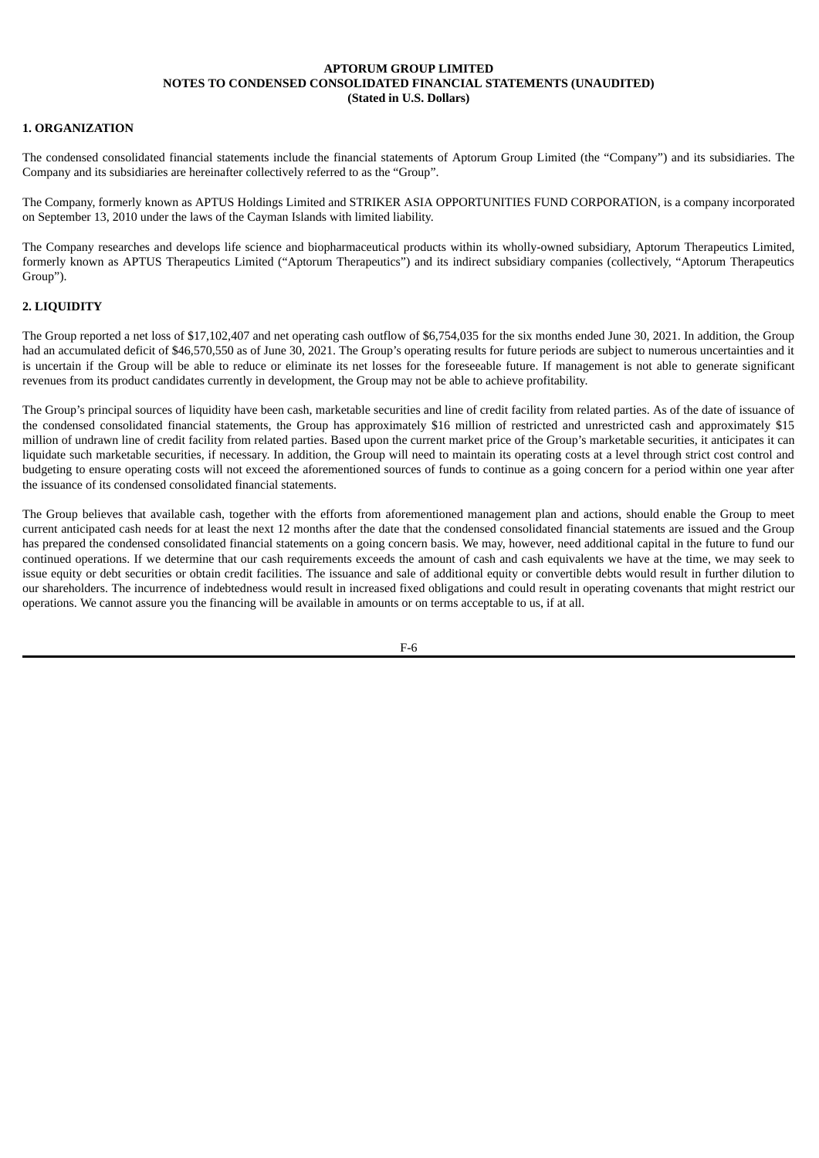## <span id="page-8-0"></span>**1. ORGANIZATION**

The condensed consolidated financial statements include the financial statements of Aptorum Group Limited (the "Company") and its subsidiaries. The Company and its subsidiaries are hereinafter collectively referred to as the "Group".

The Company, formerly known as APTUS Holdings Limited and STRIKER ASIA OPPORTUNITIES FUND CORPORATION, is a company incorporated on September 13, 2010 under the laws of the Cayman Islands with limited liability.

The Company researches and develops life science and biopharmaceutical products within its wholly-owned subsidiary, Aptorum Therapeutics Limited, formerly known as APTUS Therapeutics Limited ("Aptorum Therapeutics") and its indirect subsidiary companies (collectively, "Aptorum Therapeutics Group").

### **2. LIQUIDITY**

The Group reported a net loss of \$17,102,407 and net operating cash outflow of \$6,754,035 for the six months ended June 30, 2021. In addition, the Group had an accumulated deficit of \$46,570,550 as of June 30, 2021. The Group's operating results for future periods are subject to numerous uncertainties and it is uncertain if the Group will be able to reduce or eliminate its net losses for the foreseeable future. If management is not able to generate significant revenues from its product candidates currently in development, the Group may not be able to achieve profitability.

The Group's principal sources of liquidity have been cash, marketable securities and line of credit facility from related parties. As of the date of issuance of the condensed consolidated financial statements, the Group has approximately \$16 million of restricted and unrestricted cash and approximately \$15 million of undrawn line of credit facility from related parties. Based upon the current market price of the Group's marketable securities, it anticipates it can liquidate such marketable securities, if necessary. In addition, the Group will need to maintain its operating costs at a level through strict cost control and budgeting to ensure operating costs will not exceed the aforementioned sources of funds to continue as a going concern for a period within one year after the issuance of its condensed consolidated financial statements.

The Group believes that available cash, together with the efforts from aforementioned management plan and actions, should enable the Group to meet current anticipated cash needs for at least the next 12 months after the date that the condensed consolidated financial statements are issued and the Group has prepared the condensed consolidated financial statements on a going concern basis. We may, however, need additional capital in the future to fund our continued operations. If we determine that our cash requirements exceeds the amount of cash and cash equivalents we have at the time, we may seek to issue equity or debt securities or obtain credit facilities. The issuance and sale of additional equity or convertible debts would result in further dilution to our shareholders. The incurrence of indebtedness would result in increased fixed obligations and could result in operating covenants that might restrict our operations. We cannot assure you the financing will be available in amounts or on terms acceptable to us, if at all.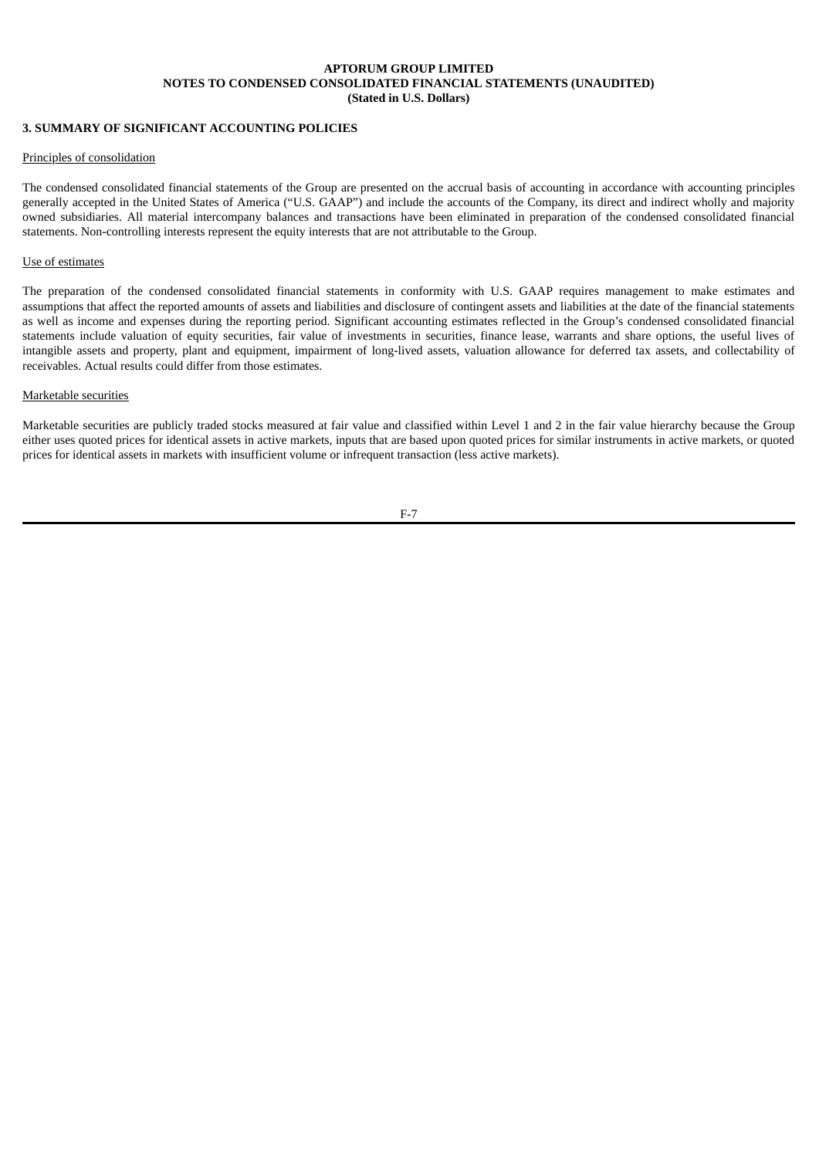### **3. SUMMARY OF SIGNIFICANT ACCOUNTING POLICIES**

#### Principles of consolidation

The condensed consolidated financial statements of the Group are presented on the accrual basis of accounting in accordance with accounting principles generally accepted in the United States of America ("U.S. GAAP") and include the accounts of the Company, its direct and indirect wholly and majority owned subsidiaries. All material intercompany balances and transactions have been eliminated in preparation of the condensed consolidated financial statements. Non-controlling interests represent the equity interests that are not attributable to the Group.

#### Use of estimates

The preparation of the condensed consolidated financial statements in conformity with U.S. GAAP requires management to make estimates and assumptions that affect the reported amounts of assets and liabilities and disclosure of contingent assets and liabilities at the date of the financial statements as well as income and expenses during the reporting period. Significant accounting estimates reflected in the Group's condensed consolidated financial statements include valuation of equity securities, fair value of investments in securities, finance lease, warrants and share options, the useful lives of intangible assets and property, plant and equipment, impairment of long-lived assets, valuation allowance for deferred tax assets, and collectability of receivables. Actual results could differ from those estimates.

### Marketable securities

Marketable securities are publicly traded stocks measured at fair value and classified within Level 1 and 2 in the fair value hierarchy because the Group either uses quoted prices for identical assets in active markets, inputs that are based upon quoted prices for similar instruments in active markets, or quoted prices for identical assets in markets with insufficient volume or infrequent transaction (less active markets).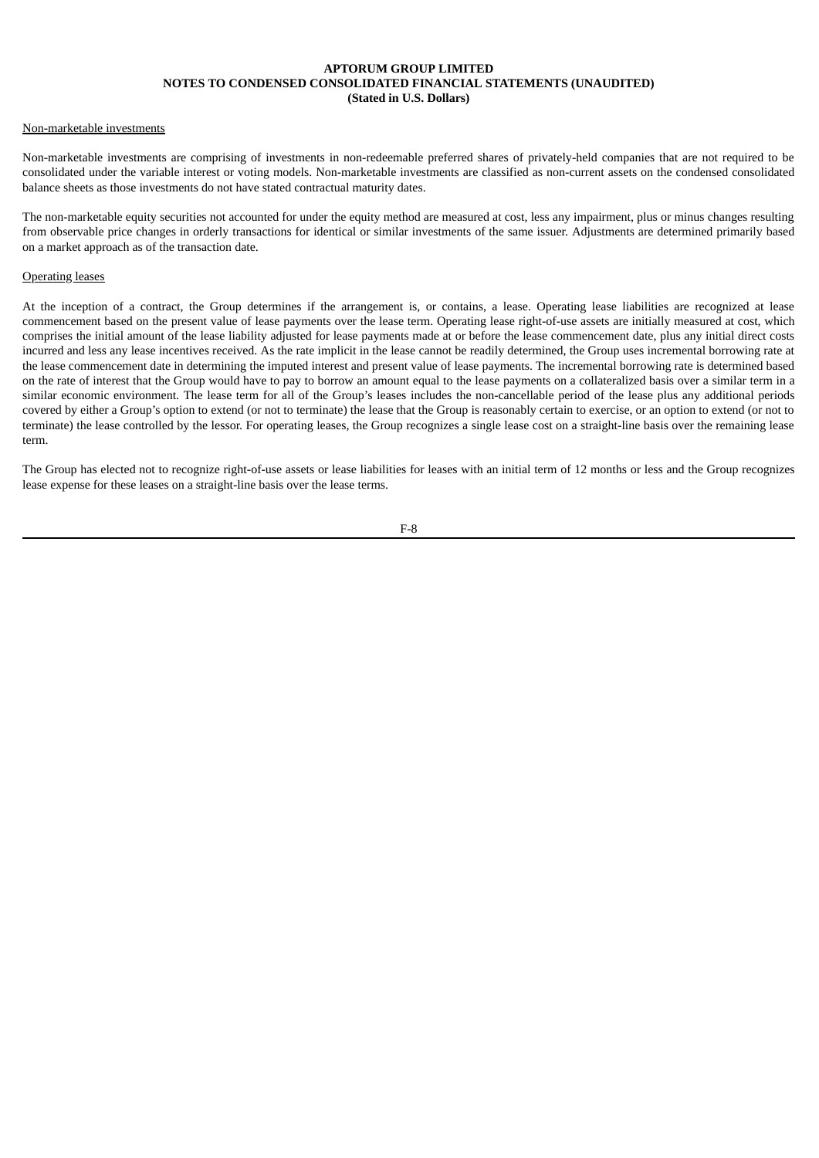#### Non-marketable investments

Non-marketable investments are comprising of investments in non-redeemable preferred shares of privately-held companies that are not required to be consolidated under the variable interest or voting models. Non-marketable investments are classified as non-current assets on the condensed consolidated balance sheets as those investments do not have stated contractual maturity dates.

The non-marketable equity securities not accounted for under the equity method are measured at cost, less any impairment, plus or minus changes resulting from observable price changes in orderly transactions for identical or similar investments of the same issuer. Adjustments are determined primarily based on a market approach as of the transaction date.

#### Operating leases

At the inception of a contract, the Group determines if the arrangement is, or contains, a lease. Operating lease liabilities are recognized at lease commencement based on the present value of lease payments over the lease term. Operating lease right-of-use assets are initially measured at cost, which comprises the initial amount of the lease liability adjusted for lease payments made at or before the lease commencement date, plus any initial direct costs incurred and less any lease incentives received. As the rate implicit in the lease cannot be readily determined, the Group uses incremental borrowing rate at the lease commencement date in determining the imputed interest and present value of lease payments. The incremental borrowing rate is determined based on the rate of interest that the Group would have to pay to borrow an amount equal to the lease payments on a collateralized basis over a similar term in a similar economic environment. The lease term for all of the Group's leases includes the non-cancellable period of the lease plus any additional periods covered by either a Group's option to extend (or not to terminate) the lease that the Group is reasonably certain to exercise, or an option to extend (or not to terminate) the lease controlled by the lessor. For operating leases, the Group recognizes a single lease cost on a straight-line basis over the remaining lease term.

The Group has elected not to recognize right-of-use assets or lease liabilities for leases with an initial term of 12 months or less and the Group recognizes lease expense for these leases on a straight-line basis over the lease terms.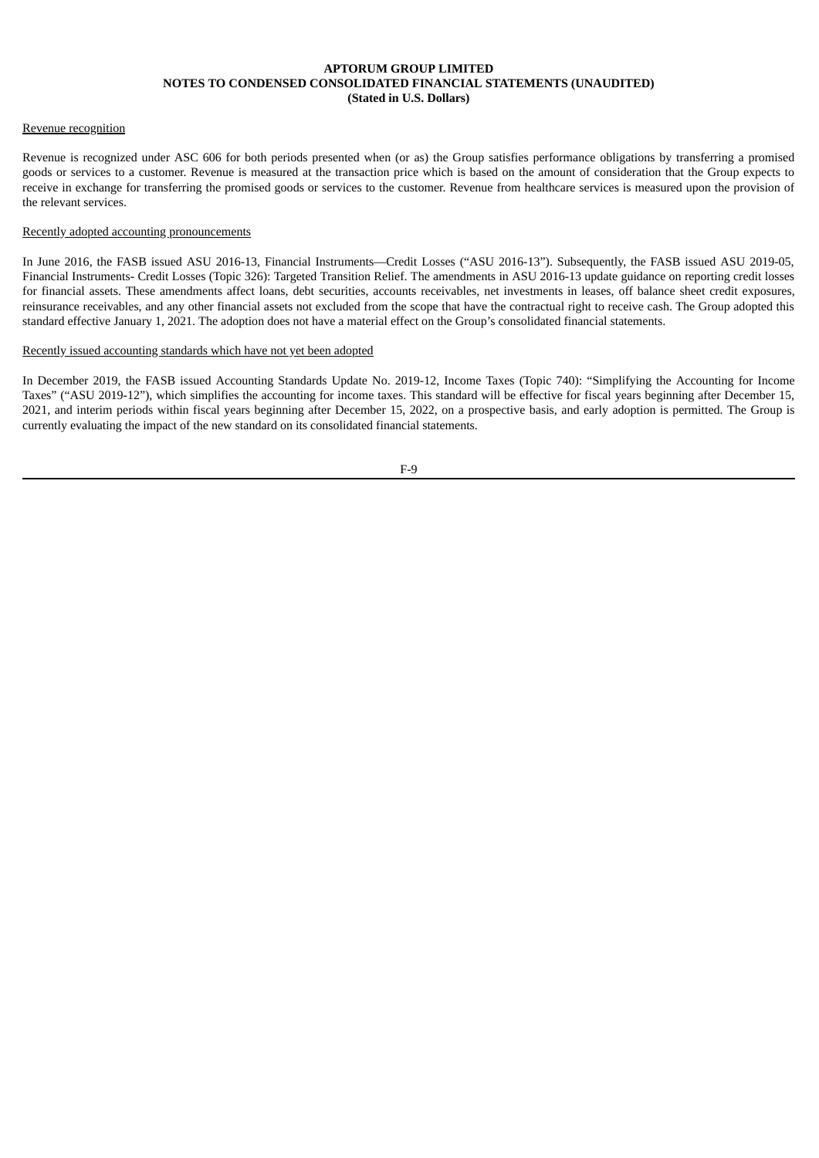### Revenue recognition

Revenue is recognized under ASC 606 for both periods presented when (or as) the Group satisfies performance obligations by transferring a promised goods or services to a customer. Revenue is measured at the transaction price which is based on the amount of consideration that the Group expects to receive in exchange for transferring the promised goods or services to the customer. Revenue from healthcare services is measured upon the provision of the relevant services.

### Recently adopted accounting pronouncements

In June 2016, the FASB issued ASU 2016-13, Financial Instruments—Credit Losses ("ASU 2016-13"). Subsequently, the FASB issued ASU 2019-05, Financial Instruments- Credit Losses (Topic 326): Targeted Transition Relief. The amendments in ASU 2016-13 update guidance on reporting credit losses for financial assets. These amendments affect loans, debt securities, accounts receivables, net investments in leases, off balance sheet credit exposures, reinsurance receivables, and any other financial assets not excluded from the scope that have the contractual right to receive cash. The Group adopted this standard effective January 1, 2021. The adoption does not have a material effect on the Group's consolidated financial statements.

#### Recently issued accounting standards which have not yet been adopted

In December 2019, the FASB issued Accounting Standards Update No. 2019-12, Income Taxes (Topic 740): "Simplifying the Accounting for Income Taxes" ("ASU 2019-12"), which simplifies the accounting for income taxes. This standard will be effective for fiscal years beginning after December 15, 2021, and interim periods within fiscal years beginning after December 15, 2022, on a prospective basis, and early adoption is permitted. The Group is currently evaluating the impact of the new standard on its consolidated financial statements.

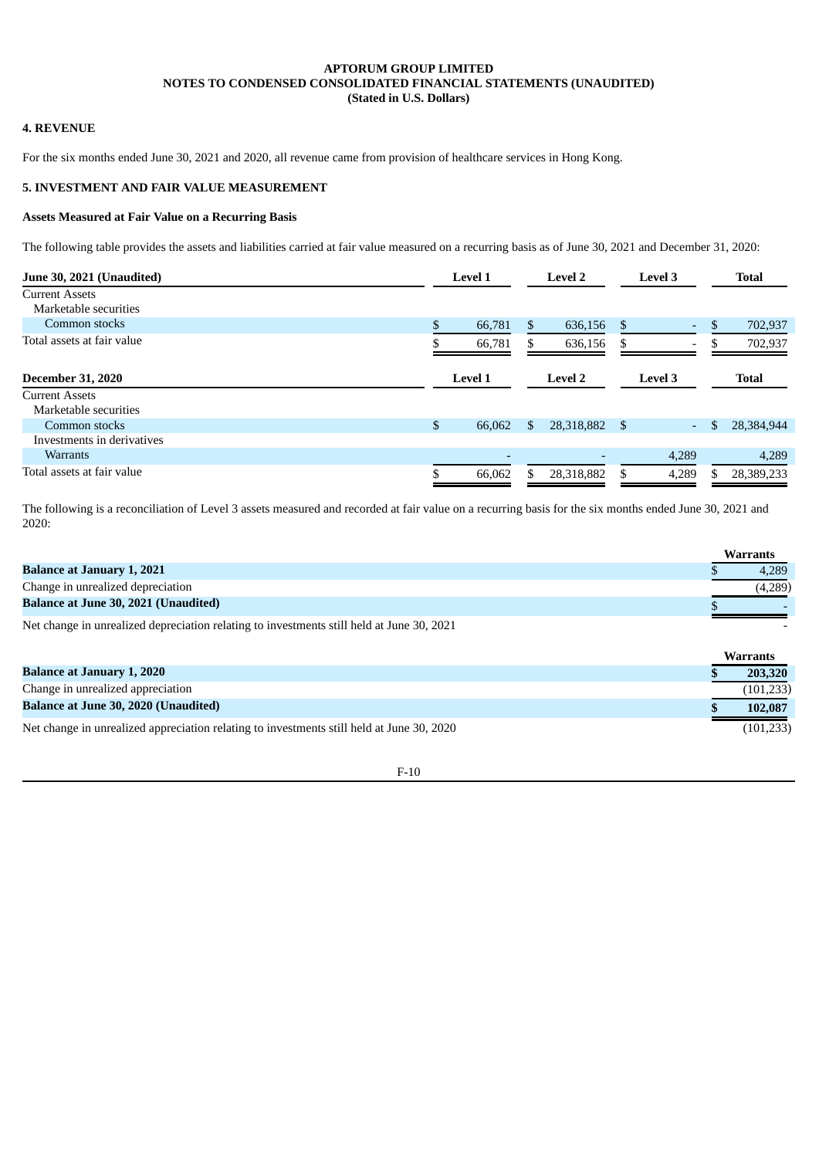### **4. REVENUE**

For the six months ended June 30, 2021 and 2020, all revenue came from provision of healthcare services in Hong Kong.

### **5. INVESTMENT AND FAIR VALUE MEASUREMENT**

### **Assets Measured at Fair Value on a Recurring Basis**

The following table provides the assets and liabilities carried at fair value measured on a recurring basis as of June 30, 2021 and December 31, 2020:

| June 30, 2021 (Unaudited)  | <b>Level 1</b> |                          |    | <b>Level 2</b> |      | <b>Level 3</b>           |      | <b>Total</b> |
|----------------------------|----------------|--------------------------|----|----------------|------|--------------------------|------|--------------|
| <b>Current Assets</b>      |                |                          |    |                |      |                          |      |              |
| Marketable securities      |                |                          |    |                |      |                          |      |              |
| Common stocks              | \$             | 66,781                   | \$ | 636,156        | -S   | ٠                        | - \$ | 702,937      |
| Total assets at fair value |                | 66,781                   |    | 636,156        | -S   | $\overline{\phantom{a}}$ |      | 702,937      |
| <b>December 31, 2020</b>   |                | <b>Level 1</b>           |    | <b>Level 2</b> |      | Level 3                  |      | <b>Total</b> |
| <b>Current Assets</b>      |                |                          |    |                |      |                          |      |              |
| Marketable securities      |                |                          |    |                |      |                          |      |              |
| Common stocks              | \$             | 66,062                   | \$ | 28,318,882     | - \$ | $\overline{\phantom{a}}$ | \$   | 28,384,944   |
| Investments in derivatives |                |                          |    |                |      |                          |      |              |
| <b>Warrants</b>            |                | $\overline{\phantom{0}}$ |    |                |      | 4,289                    |      | 4,289        |
| Total assets at fair value |                | 66,062                   | ፍ  | 28,318,882     |      | 4,289                    |      | 28,389,233   |

The following is a reconciliation of Level 3 assets measured and recorded at fair value on a recurring basis for the six months ended June 30, 2021 and 2020:

|                                                                                                                       | <b>Warrants</b> |
|-----------------------------------------------------------------------------------------------------------------------|-----------------|
| <b>Balance at January 1, 2021</b>                                                                                     | 4.289           |
| Change in unrealized depreciation                                                                                     | (4,289)         |
| <b>Balance at June 30, 2021 (Unaudited)</b>                                                                           |                 |
| . 90.1. والروم المسابق المسابق الثاني والمستخدمات والمستخدمات المستخدمات المستخدمات والمستخدمات المستخدمات المستخدمات |                 |

Net change in unrealized depreciation relating to investments still held at June 30, 2021

|                                                                                           | <b>Warrants</b> |
|-------------------------------------------------------------------------------------------|-----------------|
| <b>Balance at January 1, 2020</b>                                                         | 203,320         |
| Change in unrealized appreciation                                                         | (101, 233)      |
| <b>Balance at June 30, 2020 (Unaudited)</b>                                               | 102.087         |
| Net change in unrealized appreciation relating to investments still held at June 30, 2020 | (101, 233)      |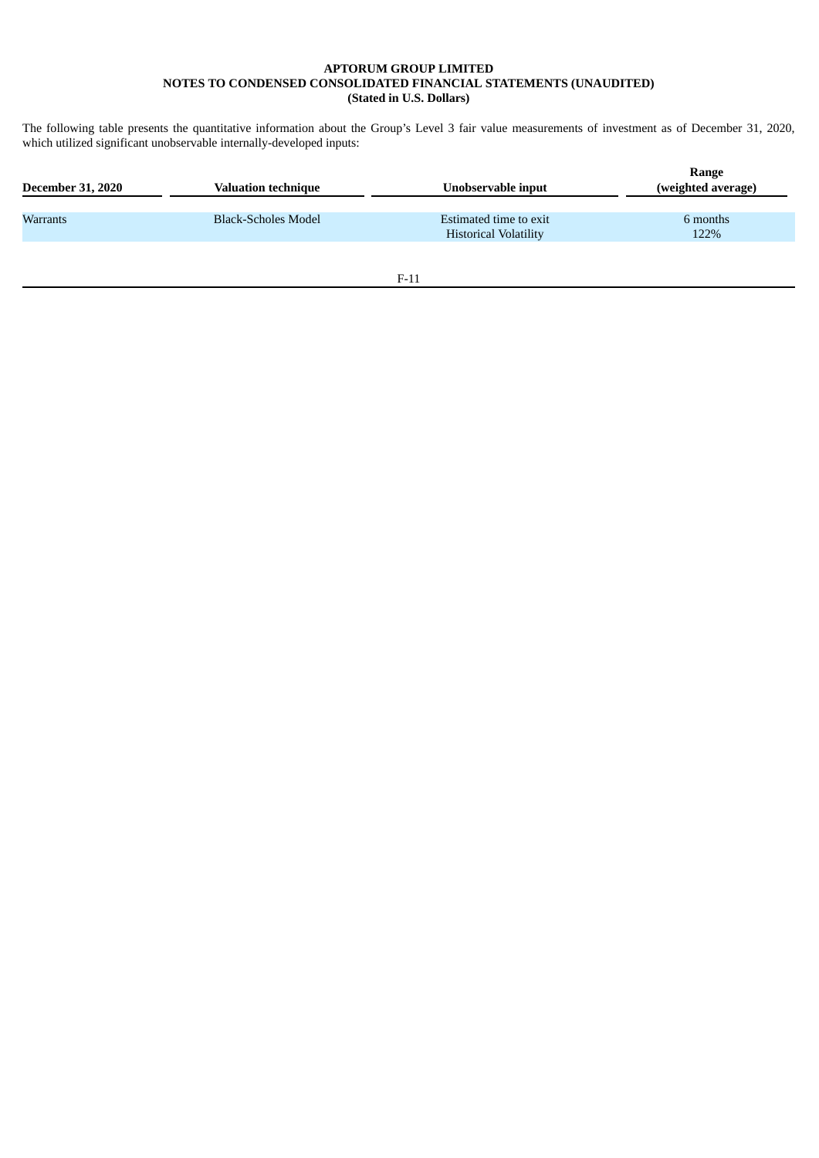The following table presents the quantitative information about the Group's Level 3 fair value measurements of investment as of December 31, 2020, which utilized significant unobservable internally-developed inputs:

| <b>December 31, 2020</b> | <b>Valuation technique</b> | Unobservable input                                     | Range<br>(weighted average) |
|--------------------------|----------------------------|--------------------------------------------------------|-----------------------------|
| Warrants                 | Black-Scholes Model        | Estimated time to exit<br><b>Historical Volatility</b> | 6 months<br>122%            |
|                          |                            |                                                        |                             |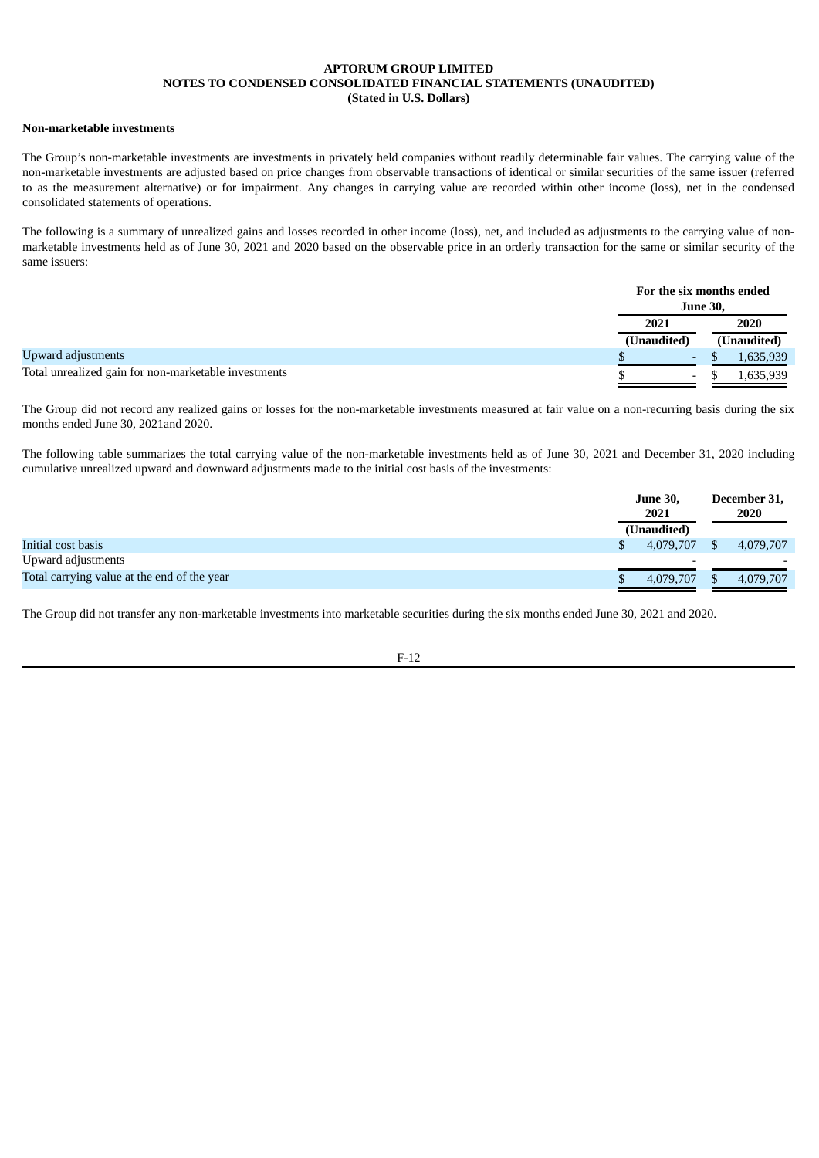### **Non-marketable investments**

The Group's non-marketable investments are investments in privately held companies without readily determinable fair values. The carrying value of the non-marketable investments are adjusted based on price changes from observable transactions of identical or similar securities of the same issuer (referred to as the measurement alternative) or for impairment. Any changes in carrying value are recorded within other income (loss), net in the condensed consolidated statements of operations.

The following is a summary of unrealized gains and losses recorded in other income (loss), net, and included as adjustments to the carrying value of nonmarketable investments held as of June 30, 2021 and 2020 based on the observable price in an orderly transaction for the same or similar security of the same issuers:

|                                                      |             | For the six months ended<br><b>June 30,</b> |
|------------------------------------------------------|-------------|---------------------------------------------|
|                                                      | 2021        | 2020                                        |
|                                                      | (Unaudited) | (Unaudited)                                 |
| Upward adjustments                                   | $\sim$      | 1,635,939                                   |
| Total unrealized gain for non-marketable investments | $\sim$      | 1,635,939                                   |

The Group did not record any realized gains or losses for the non-marketable investments measured at fair value on a non-recurring basis during the six months ended June 30, 2021and 2020.

The following table summarizes the total carrying value of the non-marketable investments held as of June 30, 2021 and December 31, 2020 including cumulative unrealized upward and downward adjustments made to the initial cost basis of the investments:

|                                             | <b>June 30,</b><br>2021 |              | December 31,<br>2020 |  |
|---------------------------------------------|-------------------------|--------------|----------------------|--|
|                                             | (Unaudited)             |              |                      |  |
| Initial cost basis                          | 4.079.707               | $\mathbf{S}$ | 4,079,707            |  |
| Upward adjustments                          |                         |              |                      |  |
| Total carrying value at the end of the year | 4,079,707               |              | 4,079,707            |  |

The Group did not transfer any non-marketable investments into marketable securities during the six months ended June 30, 2021 and 2020.

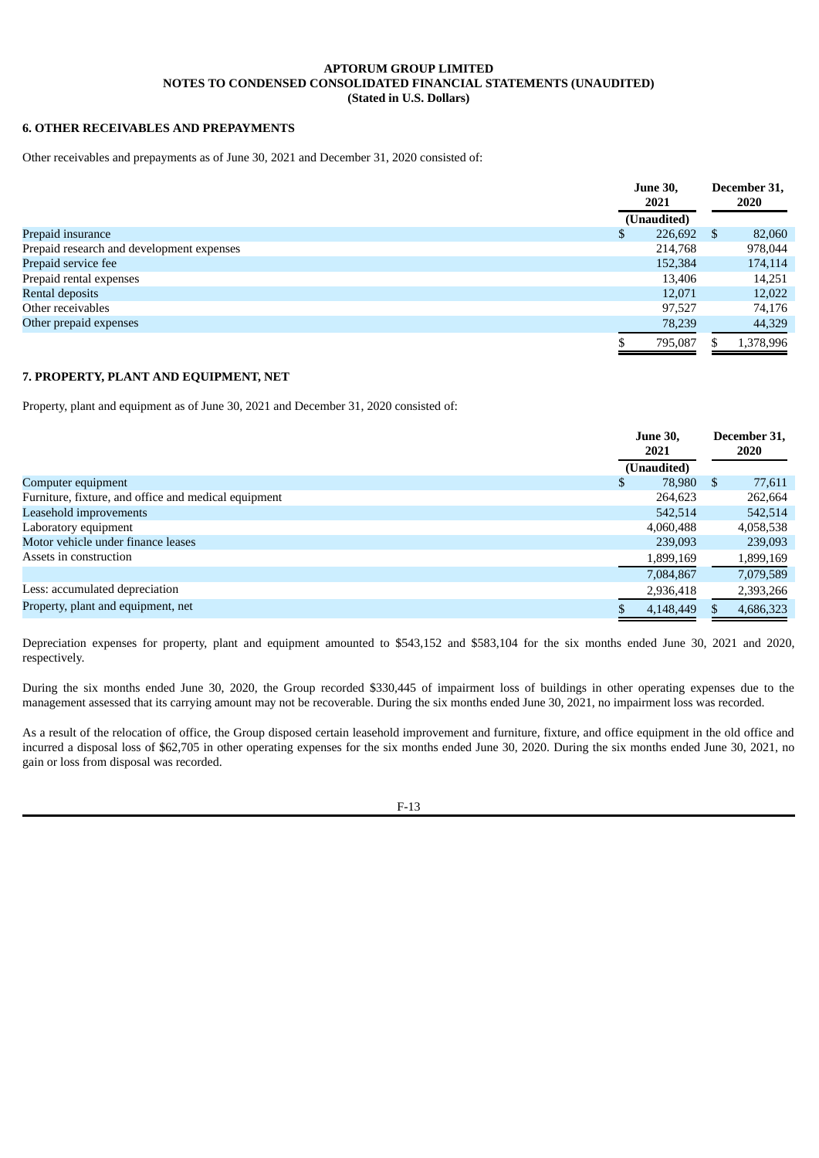### **6. OTHER RECEIVABLES AND PREPAYMENTS**

Other receivables and prepayments as of June 30, 2021 and December 31, 2020 consisted of:

|                                           | <b>June 30,</b><br>2021 | December 31,<br><b>2020</b> |
|-------------------------------------------|-------------------------|-----------------------------|
|                                           | (Unaudited)             |                             |
| Prepaid insurance                         | 226,692<br>\$           | 82,060<br>S.                |
| Prepaid research and development expenses | 214,768                 | 978,044                     |
| Prepaid service fee                       | 152,384                 | 174,114                     |
| Prepaid rental expenses                   | 13,406                  | 14,251                      |
| <b>Rental deposits</b>                    | 12,071                  | 12,022                      |
| Other receivables                         | 97,527                  | 74,176                      |
| Other prepaid expenses                    | 78,239                  | 44,329                      |
|                                           | 795,087                 | 1,378,996                   |

## **7. PROPERTY, PLANT AND EQUIPMENT, NET**

Property, plant and equipment as of June 30, 2021 and December 31, 2020 consisted of:

|                                                      | <b>June 30,</b><br>2021 |               | December 31,<br>2020 |  |
|------------------------------------------------------|-------------------------|---------------|----------------------|--|
|                                                      | (Unaudited)             |               |                      |  |
| Computer equipment                                   | \$<br>78,980            | <sup>\$</sup> | 77,611               |  |
| Furniture, fixture, and office and medical equipment | 264,623                 |               | 262,664              |  |
| Leasehold improvements                               | 542,514                 |               | 542,514              |  |
| Laboratory equipment                                 | 4,060,488               |               | 4,058,538            |  |
| Motor vehicle under finance leases                   | 239,093                 |               | 239,093              |  |
| Assets in construction                               | 1,899,169               |               | 1,899,169            |  |
|                                                      | 7,084,867               |               | 7,079,589            |  |
| Less: accumulated depreciation                       | 2,936,418               |               | 2,393,266            |  |
| Property, plant and equipment, net                   | 4,148,449               |               | 4,686,323            |  |

Depreciation expenses for property, plant and equipment amounted to \$543,152 and \$583,104 for the six months ended June 30, 2021 and 2020, respectively.

During the six months ended June 30, 2020, the Group recorded \$330,445 of impairment loss of buildings in other operating expenses due to the management assessed that its carrying amount may not be recoverable. During the six months ended June 30, 2021, no impairment loss was recorded.

As a result of the relocation of office, the Group disposed certain leasehold improvement and furniture, fixture, and office equipment in the old office and incurred a disposal loss of \$62,705 in other operating expenses for the six months ended June 30, 2020. During the six months ended June 30, 2021, no gain or loss from disposal was recorded.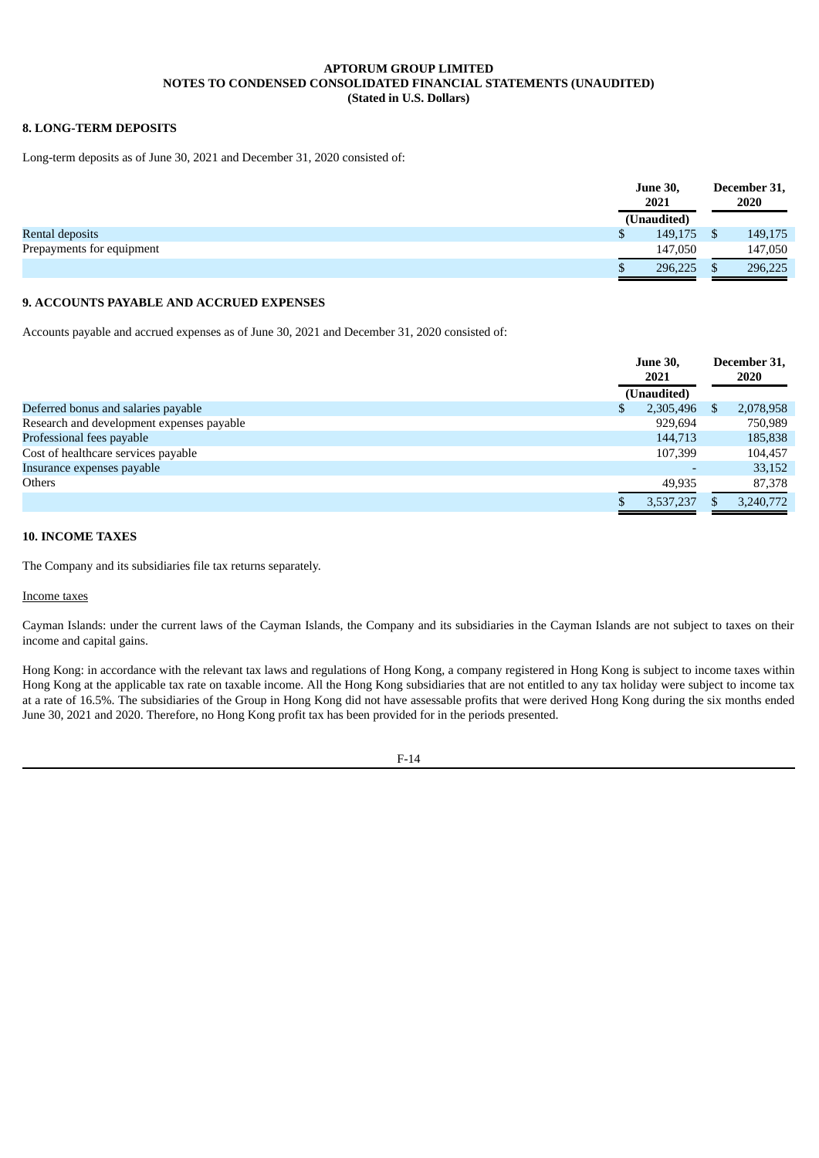## **8. LONG-TERM DEPOSITS**

Long-term deposits as of June 30, 2021 and December 31, 2020 consisted of:

|                           | <b>June 30,</b><br>2021 | December 31,<br>2020 |
|---------------------------|-------------------------|----------------------|
|                           | (Unaudited)             |                      |
| Rental deposits           | 149,175<br>P            | 149,175              |
| Prepayments for equipment | 147,050                 | 147,050              |
|                           | 296,225                 | 296,225              |

### **9. ACCOUNTS PAYABLE AND ACCRUED EXPENSES**

Accounts payable and accrued expenses as of June 30, 2021 and December 31, 2020 consisted of:

|                                           | <b>June 30,</b><br>2021<br>(Unaudited) |    | December 31,<br><b>2020</b> |
|-------------------------------------------|----------------------------------------|----|-----------------------------|
| Deferred bonus and salaries payable       | 2,305,496                              | -S | 2,078,958                   |
| Research and development expenses payable | 929,694                                |    | 750,989                     |
| Professional fees payable                 | 144,713                                |    | 185,838                     |
| Cost of healthcare services payable       | 107.399                                |    | 104,457                     |
| Insurance expenses payable                | -                                      |    | 33,152                      |
| Others                                    | 49,935                                 |    | 87,378                      |
|                                           | 3,537,237                              |    | 3,240,772                   |

## **10. INCOME TAXES**

The Company and its subsidiaries file tax returns separately.

### Income taxes

Cayman Islands: under the current laws of the Cayman Islands, the Company and its subsidiaries in the Cayman Islands are not subject to taxes on their income and capital gains.

Hong Kong: in accordance with the relevant tax laws and regulations of Hong Kong, a company registered in Hong Kong is subject to income taxes within Hong Kong at the applicable tax rate on taxable income. All the Hong Kong subsidiaries that are not entitled to any tax holiday were subject to income tax at a rate of 16.5%. The subsidiaries of the Group in Hong Kong did not have assessable profits that were derived Hong Kong during the six months ended June 30, 2021 and 2020. Therefore, no Hong Kong profit tax has been provided for in the periods presented.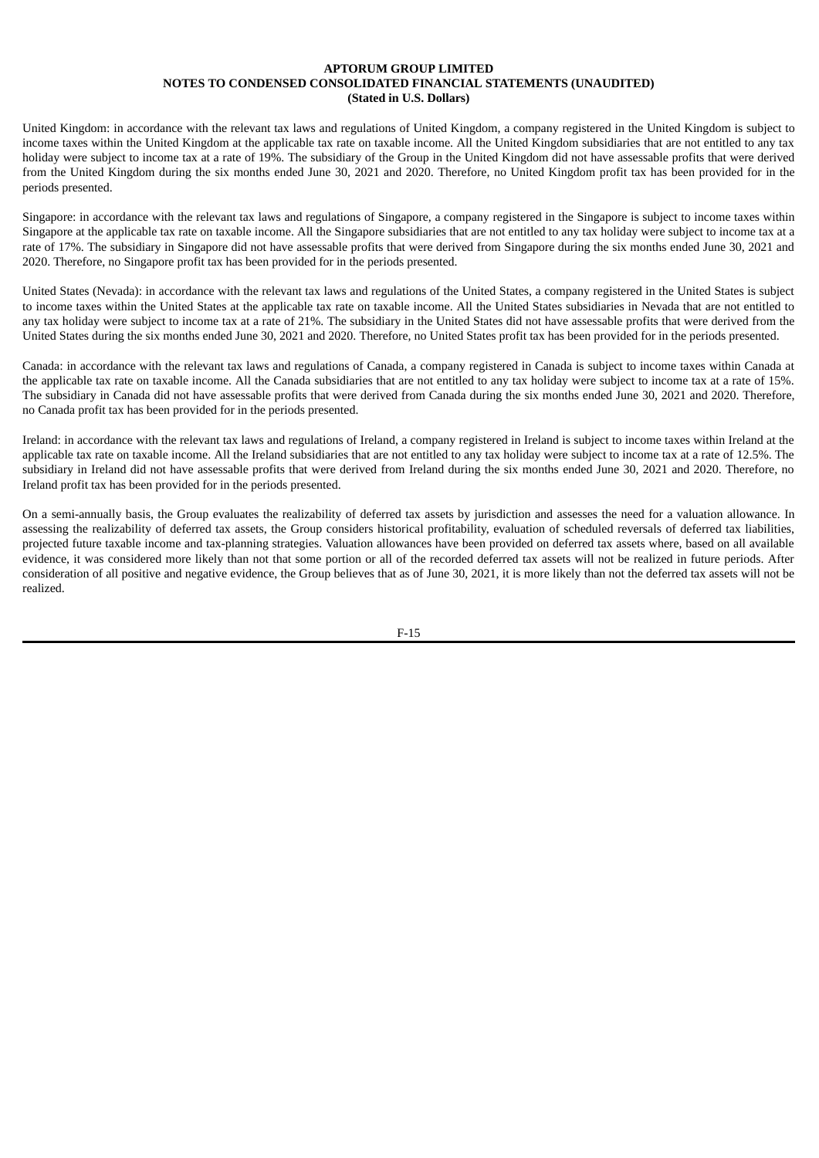United Kingdom: in accordance with the relevant tax laws and regulations of United Kingdom, a company registered in the United Kingdom is subject to income taxes within the United Kingdom at the applicable tax rate on taxable income. All the United Kingdom subsidiaries that are not entitled to any tax holiday were subject to income tax at a rate of 19%. The subsidiary of the Group in the United Kingdom did not have assessable profits that were derived from the United Kingdom during the six months ended June 30, 2021 and 2020. Therefore, no United Kingdom profit tax has been provided for in the periods presented.

Singapore: in accordance with the relevant tax laws and regulations of Singapore, a company registered in the Singapore is subject to income taxes within Singapore at the applicable tax rate on taxable income. All the Singapore subsidiaries that are not entitled to any tax holiday were subject to income tax at a rate of 17%. The subsidiary in Singapore did not have assessable profits that were derived from Singapore during the six months ended June 30, 2021 and 2020. Therefore, no Singapore profit tax has been provided for in the periods presented.

United States (Nevada): in accordance with the relevant tax laws and regulations of the United States, a company registered in the United States is subject to income taxes within the United States at the applicable tax rate on taxable income. All the United States subsidiaries in Nevada that are not entitled to any tax holiday were subject to income tax at a rate of 21%. The subsidiary in the United States did not have assessable profits that were derived from the United States during the six months ended June 30, 2021 and 2020. Therefore, no United States profit tax has been provided for in the periods presented.

Canada: in accordance with the relevant tax laws and regulations of Canada, a company registered in Canada is subject to income taxes within Canada at the applicable tax rate on taxable income. All the Canada subsidiaries that are not entitled to any tax holiday were subject to income tax at a rate of 15%. The subsidiary in Canada did not have assessable profits that were derived from Canada during the six months ended June 30, 2021 and 2020. Therefore, no Canada profit tax has been provided for in the periods presented.

Ireland: in accordance with the relevant tax laws and regulations of Ireland, a company registered in Ireland is subject to income taxes within Ireland at the applicable tax rate on taxable income. All the Ireland subsidiaries that are not entitled to any tax holiday were subject to income tax at a rate of 12.5%. The subsidiary in Ireland did not have assessable profits that were derived from Ireland during the six months ended June 30, 2021 and 2020. Therefore, no Ireland profit tax has been provided for in the periods presented.

On a semi-annually basis, the Group evaluates the realizability of deferred tax assets by jurisdiction and assesses the need for a valuation allowance. In assessing the realizability of deferred tax assets, the Group considers historical profitability, evaluation of scheduled reversals of deferred tax liabilities, projected future taxable income and tax-planning strategies. Valuation allowances have been provided on deferred tax assets where, based on all available evidence, it was considered more likely than not that some portion or all of the recorded deferred tax assets will not be realized in future periods. After consideration of all positive and negative evidence, the Group believes that as of June 30, 2021, it is more likely than not the deferred tax assets will not be realized.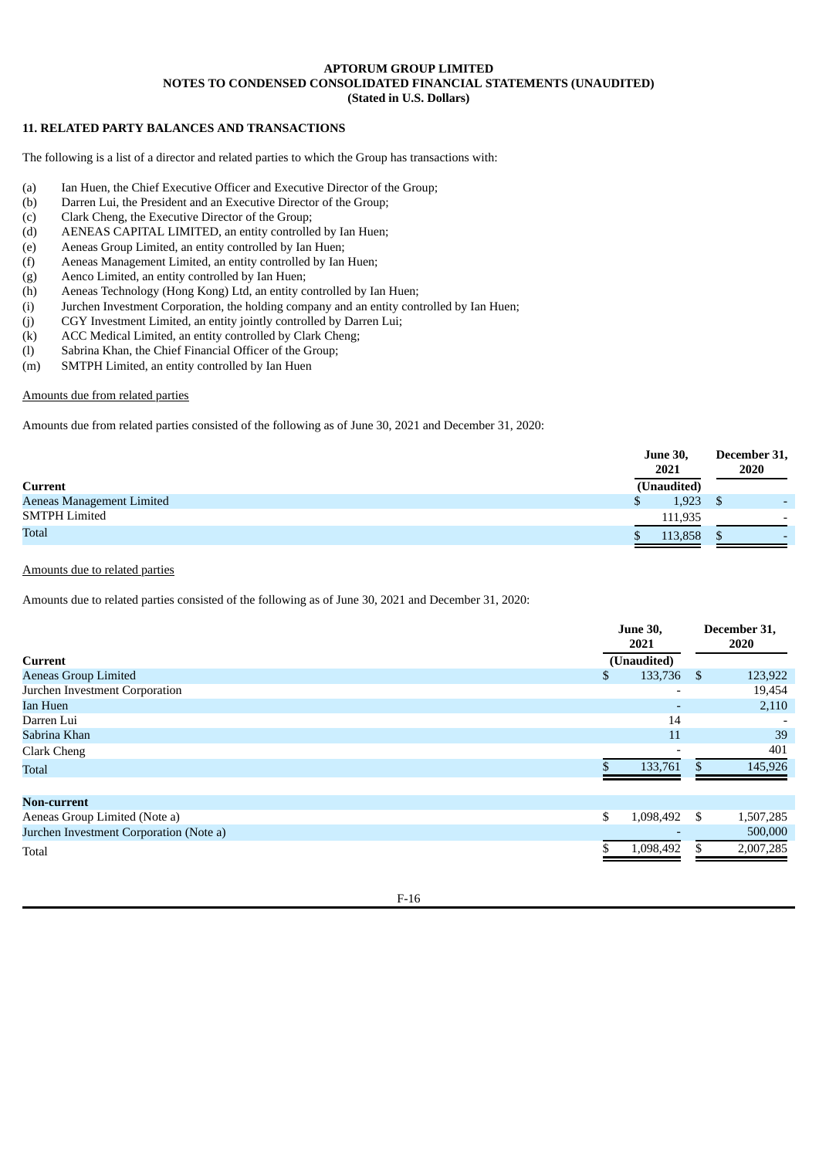## **11. RELATED PARTY BALANCES AND TRANSACTIONS**

The following is a list of a director and related parties to which the Group has transactions with:

- (a) Ian Huen, the Chief Executive Officer and Executive Director of the Group;
- (b) Darren Lui, the President and an Executive Director of the Group;
- (c) Clark Cheng, the Executive Director of the Group;
- (d) AENEAS CAPITAL LIMITED, an entity controlled by Ian Huen;
- (e) Aeneas Group Limited, an entity controlled by Ian Huen;
- (f) Aeneas Management Limited, an entity controlled by Ian Huen;
- (g) Aenco Limited, an entity controlled by Ian Huen;
- (h) Aeneas Technology (Hong Kong) Ltd, an entity controlled by Ian Huen;
- (i) Jurchen Investment Corporation, the holding company and an entity controlled by Ian Huen;
- (j) CGY Investment Limited, an entity jointly controlled by Darren Lui;
- (k) ACC Medical Limited, an entity controlled by Clark Cheng;
- (l) Sabrina Khan, the Chief Financial Officer of the Group;
- (m) SMTPH Limited, an entity controlled by Ian Huen

### Amounts due from related parties

Amounts due from related parties consisted of the following as of June 30, 2021 and December 31, 2020:

|                           | <b>June 30,</b><br>2021 | December 31,<br>2020     |
|---------------------------|-------------------------|--------------------------|
| <b>Current</b>            | (Unaudited)             |                          |
| Aeneas Management Limited | 1,923                   | $\overline{\phantom{0}}$ |
| <b>SMTPH Limited</b>      | 111,935                 | $\overline{\phantom{0}}$ |
| <b>Total</b>              | 113,858                 | $\overline{\phantom{0}}$ |

## Amounts due to related parties

Amounts due to related parties consisted of the following as of June 30, 2021 and December 31, 2020:

|                                         | <b>June 30,</b><br>2021 |             | December 31,<br>2020 |           |
|-----------------------------------------|-------------------------|-------------|----------------------|-----------|
| Current                                 |                         | (Unaudited) |                      |           |
| <b>Aeneas Group Limited</b>             | \$                      | 133,736     | - \$                 | 123,922   |
| Jurchen Investment Corporation          |                         |             |                      | 19,454    |
| Ian Huen                                |                         |             |                      | 2,110     |
| Darren Lui                              |                         | 14          |                      |           |
| Sabrina Khan                            |                         | 11          |                      | 39        |
| Clark Cheng                             |                         |             |                      | 401       |
| <b>Total</b>                            |                         | 133,761     |                      | 145,926   |
| Non-current                             |                         |             |                      |           |
| Aeneas Group Limited (Note a)           | \$                      | 1,098,492   | -S                   | 1,507,285 |
| Jurchen Investment Corporation (Note a) |                         |             |                      | 500,000   |
| Total                                   |                         | 1,098,492   |                      | 2,007,285 |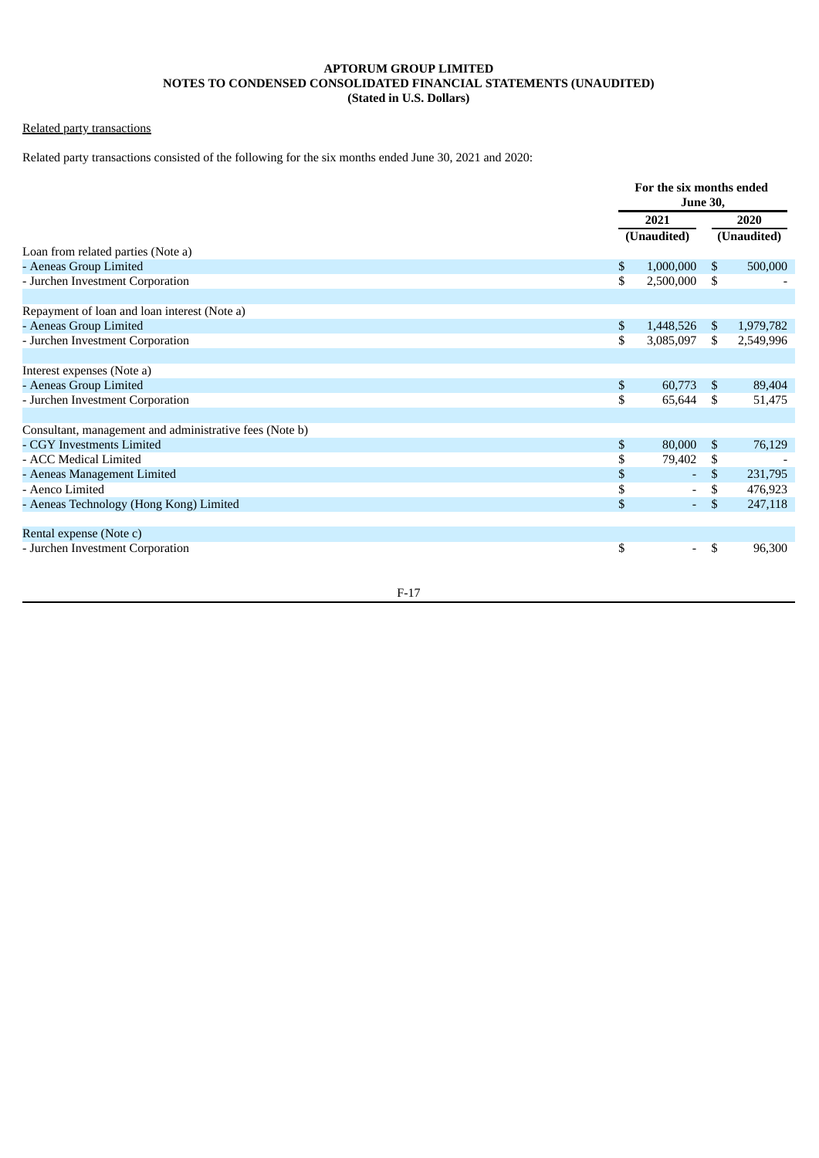# Related party transactions

Related party transactions consisted of the following for the six months ended June 30, 2021 and 2020:

|                                                         |      | For the six months ended<br><b>June 30,</b> |                |           |
|---------------------------------------------------------|------|---------------------------------------------|----------------|-----------|
|                                                         | 2021 |                                             | 2020           |           |
|                                                         |      | (Unaudited)                                 | (Unaudited)    |           |
| Loan from related parties (Note a)                      |      |                                             |                |           |
| - Aeneas Group Limited                                  | \$   | 1,000,000                                   | \$             | 500,000   |
| - Jurchen Investment Corporation                        | \$   | 2,500,000                                   | \$             |           |
| Repayment of loan and loan interest (Note a)            |      |                                             |                |           |
| - Aeneas Group Limited                                  | \$   | 1,448,526                                   | \$.            | 1,979,782 |
| - Jurchen Investment Corporation                        | \$   | 3,085,097                                   | \$             | 2,549,996 |
| Interest expenses (Note a)                              |      |                                             |                |           |
| - Aeneas Group Limited                                  | \$   | 60,773                                      | \$             | 89,404    |
| - Jurchen Investment Corporation                        | \$   | 65,644                                      | \$             | 51,475    |
| Consultant, management and administrative fees (Note b) |      |                                             |                |           |
| - CGY Investments Limited                               | \$   | 80,000                                      | $\mathfrak{S}$ | 76,129    |
| - ACC Medical Limited                                   | \$   | 79,402                                      | \$             |           |
| - Aeneas Management Limited                             | \$   | ÷.                                          | $\mathfrak{S}$ | 231,795   |
| - Aenco Limited                                         | \$   | $\overline{\phantom{a}}$                    | \$             | 476,923   |
| - Aeneas Technology (Hong Kong) Limited                 | \$   | $\blacksquare$                              | \$             | 247,118   |
| Rental expense (Note c)                                 |      |                                             |                |           |
| - Jurchen Investment Corporation                        | \$   | $\overline{\phantom{a}}$                    | \$             | 96,300    |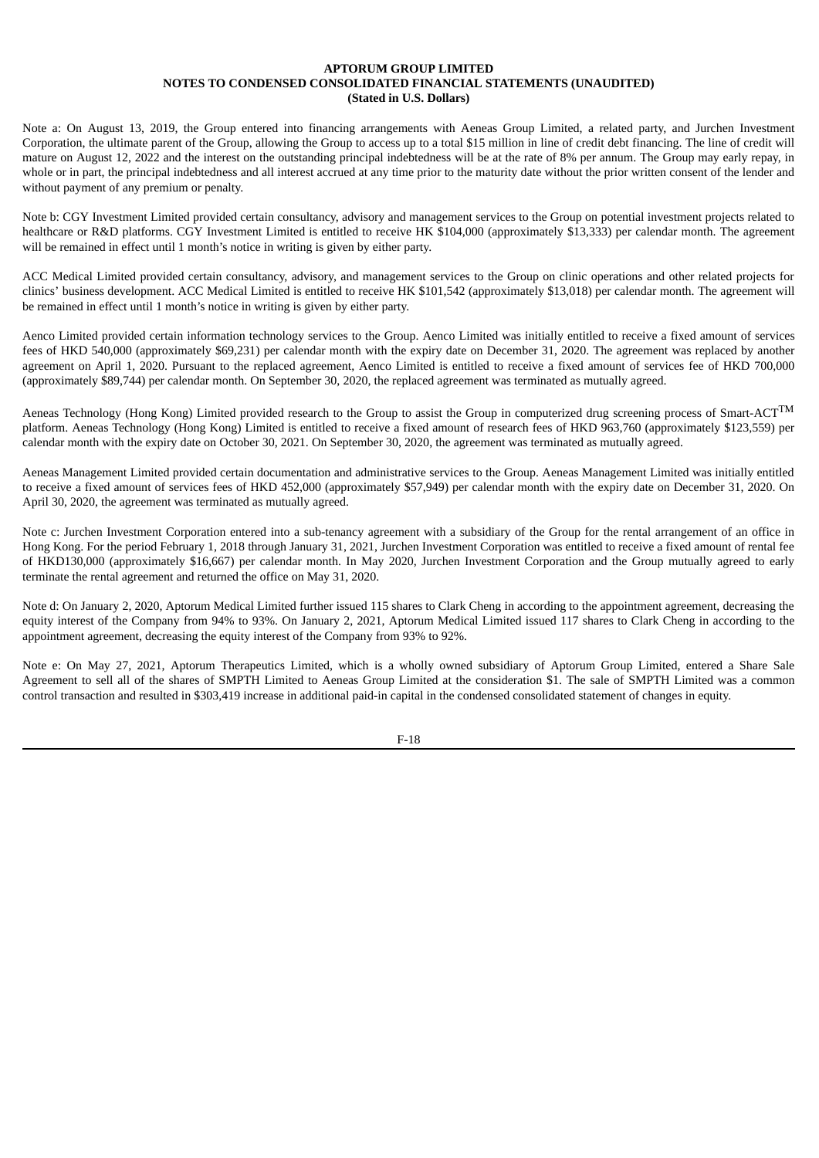Note a: On August 13, 2019, the Group entered into financing arrangements with Aeneas Group Limited, a related party, and Jurchen Investment Corporation, the ultimate parent of the Group, allowing the Group to access up to a total \$15 million in line of credit debt financing. The line of credit will mature on August 12, 2022 and the interest on the outstanding principal indebtedness will be at the rate of 8% per annum. The Group may early repay, in whole or in part, the principal indebtedness and all interest accrued at any time prior to the maturity date without the prior written consent of the lender and without payment of any premium or penalty.

Note b: CGY Investment Limited provided certain consultancy, advisory and management services to the Group on potential investment projects related to healthcare or R&D platforms. CGY Investment Limited is entitled to receive HK \$104,000 (approximately \$13,333) per calendar month. The agreement will be remained in effect until 1 month's notice in writing is given by either party.

ACC Medical Limited provided certain consultancy, advisory, and management services to the Group on clinic operations and other related projects for clinics' business development. ACC Medical Limited is entitled to receive HK \$101,542 (approximately \$13,018) per calendar month. The agreement will be remained in effect until 1 month's notice in writing is given by either party.

Aenco Limited provided certain information technology services to the Group. Aenco Limited was initially entitled to receive a fixed amount of services fees of HKD 540,000 (approximately \$69,231) per calendar month with the expiry date on December 31, 2020. The agreement was replaced by another agreement on April 1, 2020. Pursuant to the replaced agreement, Aenco Limited is entitled to receive a fixed amount of services fee of HKD 700,000 (approximately \$89,744) per calendar month. On September 30, 2020, the replaced agreement was terminated as mutually agreed.

Aeneas Technology (Hong Kong) Limited provided research to the Group to assist the Group in computerized drug screening process of Smart-ACT $^{\rm TM}$ platform. Aeneas Technology (Hong Kong) Limited is entitled to receive a fixed amount of research fees of HKD 963,760 (approximately \$123,559) per calendar month with the expiry date on October 30, 2021. On September 30, 2020, the agreement was terminated as mutually agreed.

Aeneas Management Limited provided certain documentation and administrative services to the Group. Aeneas Management Limited was initially entitled to receive a fixed amount of services fees of HKD 452,000 (approximately \$57,949) per calendar month with the expiry date on December 31, 2020. On April 30, 2020, the agreement was terminated as mutually agreed.

Note c: Jurchen Investment Corporation entered into a sub-tenancy agreement with a subsidiary of the Group for the rental arrangement of an office in Hong Kong. For the period February 1, 2018 through January 31, 2021, Jurchen Investment Corporation was entitled to receive a fixed amount of rental fee of HKD130,000 (approximately \$16,667) per calendar month. In May 2020, Jurchen Investment Corporation and the Group mutually agreed to early terminate the rental agreement and returned the office on May 31, 2020.

Note d: On January 2, 2020, Aptorum Medical Limited further issued 115 shares to Clark Cheng in according to the appointment agreement, decreasing the equity interest of the Company from 94% to 93%. On January 2, 2021, Aptorum Medical Limited issued 117 shares to Clark Cheng in according to the appointment agreement, decreasing the equity interest of the Company from 93% to 92%.

Note e: On May 27, 2021, Aptorum Therapeutics Limited, which is a wholly owned subsidiary of Aptorum Group Limited, entered a Share Sale Agreement to sell all of the shares of SMPTH Limited to Aeneas Group Limited at the consideration \$1. The sale of SMPTH Limited was a common control transaction and resulted in \$303,419 increase in additional paid-in capital in the condensed consolidated statement of changes in equity.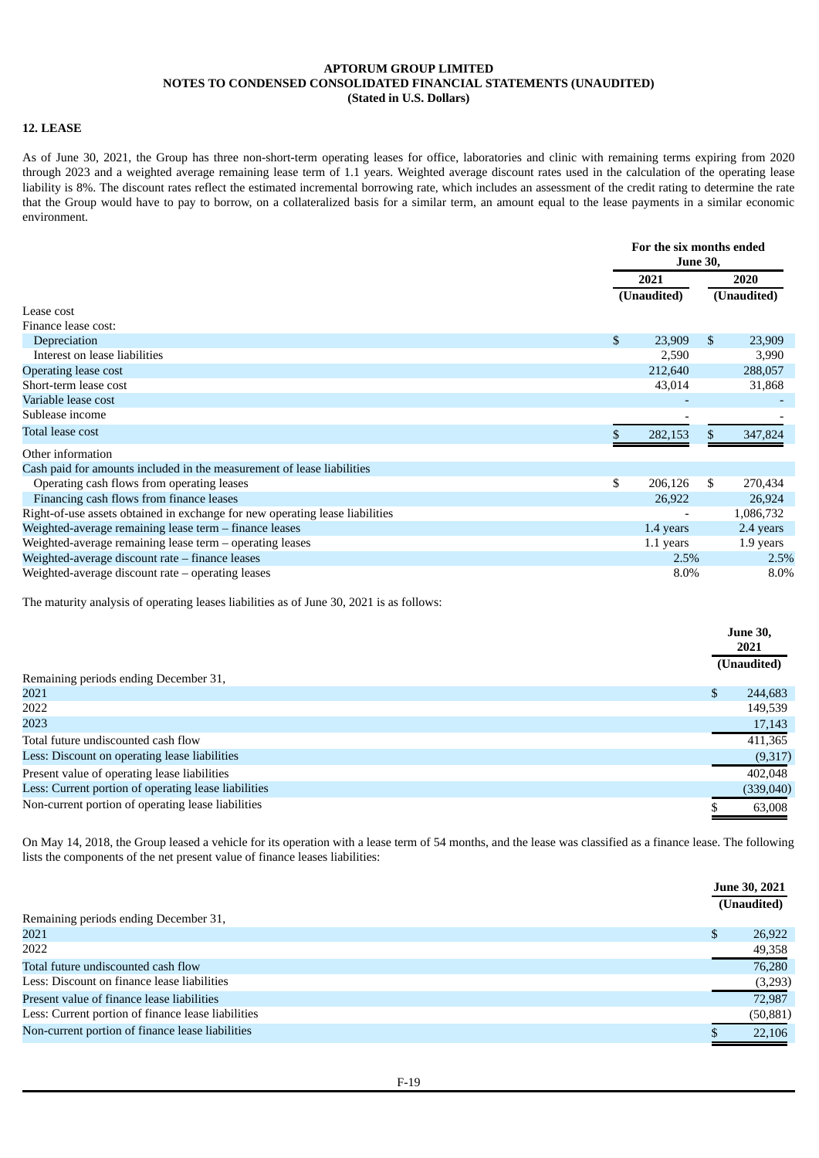### **12. LEASE**

As of June 30, 2021, the Group has three non-short-term operating leases for office, laboratories and clinic with remaining terms expiring from 2020 through 2023 and a weighted average remaining lease term of 1.1 years. Weighted average discount rates used in the calculation of the operating lease liability is 8%. The discount rates reflect the estimated incremental borrowing rate, which includes an assessment of the credit rating to determine the rate that the Group would have to pay to borrow, on a collateralized basis for a similar term, an amount equal to the lease payments in a similar economic environment.

|                                                                              |    | For the six months ended<br><b>June 30,</b> |              |             |  |
|------------------------------------------------------------------------------|----|---------------------------------------------|--------------|-------------|--|
|                                                                              |    | 2021<br>(Unaudited)                         |              | 2020        |  |
|                                                                              |    |                                             |              | (Unaudited) |  |
| Lease cost                                                                   |    |                                             |              |             |  |
| Finance lease cost:                                                          |    |                                             |              |             |  |
| Depreciation                                                                 | \$ | 23,909                                      | $\mathbb{S}$ | 23,909      |  |
| Interest on lease liabilities                                                |    | 2,590                                       |              | 3,990       |  |
| <b>Operating lease cost</b>                                                  |    | 212,640                                     |              | 288,057     |  |
| Short-term lease cost                                                        |    | 43,014                                      |              | 31,868      |  |
| Variable lease cost                                                          |    |                                             |              |             |  |
| Sublease income                                                              |    |                                             |              |             |  |
| Total lease cost                                                             |    | 282,153                                     |              | 347,824     |  |
| Other information                                                            |    |                                             |              |             |  |
| Cash paid for amounts included in the measurement of lease liabilities       |    |                                             |              |             |  |
| Operating cash flows from operating leases                                   | \$ | 206,126                                     | \$           | 270,434     |  |
| Financing cash flows from finance leases                                     |    | 26,922                                      |              | 26,924      |  |
| Right-of-use assets obtained in exchange for new operating lease liabilities |    |                                             |              | 1,086,732   |  |
| Weighted-average remaining lease term - finance leases                       |    | 1.4 years                                   |              | 2.4 years   |  |
| Weighted-average remaining lease term $-$ operating leases                   |    | 1.1 years                                   |              | 1.9 years   |  |
| Weighted-average discount rate – finance leases                              |    | 2.5%                                        |              | 2.5%        |  |
| Weighted-average discount rate $-$ operating leases                          |    | 8.0%                                        |              | 8.0%        |  |

The maturity analysis of operating leases liabilities as of June 30, 2021 is as follows:

|                                                      | <b>June 30,</b><br>2021 |
|------------------------------------------------------|-------------------------|
|                                                      | (Unaudited)             |
| Remaining periods ending December 31,                |                         |
| 2021                                                 | 244,683                 |
| 2022                                                 | 149,539                 |
| 2023                                                 | 17,143                  |
| Total future undiscounted cash flow                  | 411,365                 |
| Less: Discount on operating lease liabilities        | (9,317)                 |
| Present value of operating lease liabilities         | 402,048                 |
| Less: Current portion of operating lease liabilities | (339,040)               |
| Non-current portion of operating lease liabilities   | 63,008                  |

On May 14, 2018, the Group leased a vehicle for its operation with a lease term of 54 months, and the lease was classified as a finance lease. The following lists the components of the net present value of finance leases liabilities:

|                                                    | June 30, 2021 |             |
|----------------------------------------------------|---------------|-------------|
|                                                    |               | (Unaudited) |
| Remaining periods ending December 31,              |               |             |
| 2021                                               | £.            | 26,922      |
| 2022                                               |               | 49,358      |
| Total future undiscounted cash flow                |               | 76,280      |
| Less: Discount on finance lease liabilities        |               | (3,293)     |
| Present value of finance lease liabilities         |               | 72.987      |
| Less: Current portion of finance lease liabilities |               | (50, 881)   |
| Non-current portion of finance lease liabilities   |               | 22,106      |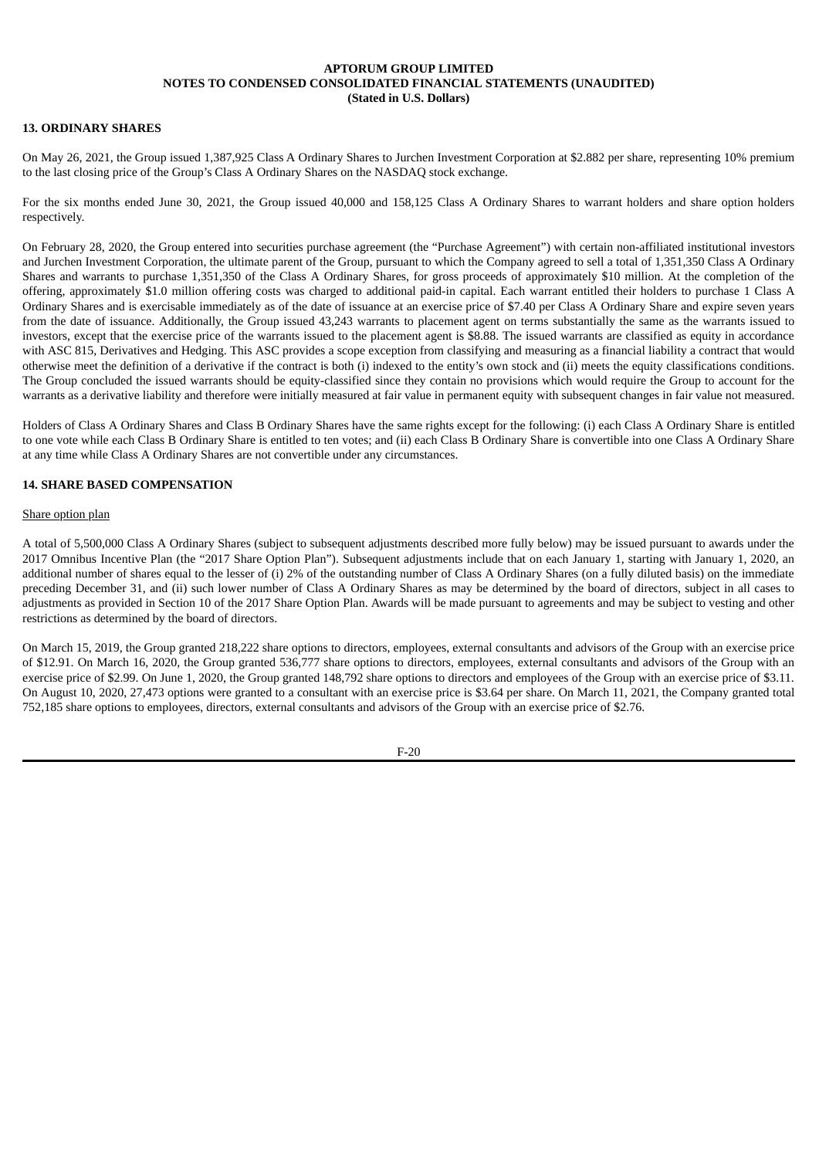## **13. ORDINARY SHARES**

On May 26, 2021, the Group issued 1,387,925 Class A Ordinary Shares to Jurchen Investment Corporation at \$2.882 per share, representing 10% premium to the last closing price of the Group's Class A Ordinary Shares on the NASDAQ stock exchange.

For the six months ended June 30, 2021, the Group issued 40,000 and 158,125 Class A Ordinary Shares to warrant holders and share option holders respectively.

On February 28, 2020, the Group entered into securities purchase agreement (the "Purchase Agreement") with certain non-affiliated institutional investors and Jurchen Investment Corporation, the ultimate parent of the Group, pursuant to which the Company agreed to sell a total of 1,351,350 Class A Ordinary Shares and warrants to purchase 1,351,350 of the Class A Ordinary Shares, for gross proceeds of approximately \$10 million. At the completion of the offering, approximately \$1.0 million offering costs was charged to additional paid-in capital. Each warrant entitled their holders to purchase 1 Class A Ordinary Shares and is exercisable immediately as of the date of issuance at an exercise price of \$7.40 per Class A Ordinary Share and expire seven years from the date of issuance. Additionally, the Group issued 43,243 warrants to placement agent on terms substantially the same as the warrants issued to investors, except that the exercise price of the warrants issued to the placement agent is \$8.88. The issued warrants are classified as equity in accordance with ASC 815, Derivatives and Hedging. This ASC provides a scope exception from classifying and measuring as a financial liability a contract that would otherwise meet the definition of a derivative if the contract is both (i) indexed to the entity's own stock and (ii) meets the equity classifications conditions. The Group concluded the issued warrants should be equity-classified since they contain no provisions which would require the Group to account for the warrants as a derivative liability and therefore were initially measured at fair value in permanent equity with subsequent changes in fair value not measured.

Holders of Class A Ordinary Shares and Class B Ordinary Shares have the same rights except for the following: (i) each Class A Ordinary Share is entitled to one vote while each Class B Ordinary Share is entitled to ten votes; and (ii) each Class B Ordinary Share is convertible into one Class A Ordinary Share at any time while Class A Ordinary Shares are not convertible under any circumstances.

### **14. SHARE BASED COMPENSATION**

### Share option plan

A total of 5,500,000 Class A Ordinary Shares (subject to subsequent adjustments described more fully below) may be issued pursuant to awards under the 2017 Omnibus Incentive Plan (the "2017 Share Option Plan"). Subsequent adjustments include that on each January 1, starting with January 1, 2020, an additional number of shares equal to the lesser of (i) 2% of the outstanding number of Class A Ordinary Shares (on a fully diluted basis) on the immediate preceding December 31, and (ii) such lower number of Class A Ordinary Shares as may be determined by the board of directors, subject in all cases to adjustments as provided in Section 10 of the 2017 Share Option Plan. Awards will be made pursuant to agreements and may be subject to vesting and other restrictions as determined by the board of directors.

On March 15, 2019, the Group granted 218,222 share options to directors, employees, external consultants and advisors of the Group with an exercise price of \$12.91. On March 16, 2020, the Group granted 536,777 share options to directors, employees, external consultants and advisors of the Group with an exercise price of \$2.99. On June 1, 2020, the Group granted 148,792 share options to directors and employees of the Group with an exercise price of \$3.11. On August 10, 2020, 27,473 options were granted to a consultant with an exercise price is \$3.64 per share. On March 11, 2021, the Company granted total 752,185 share options to employees, directors, external consultants and advisors of the Group with an exercise price of \$2.76.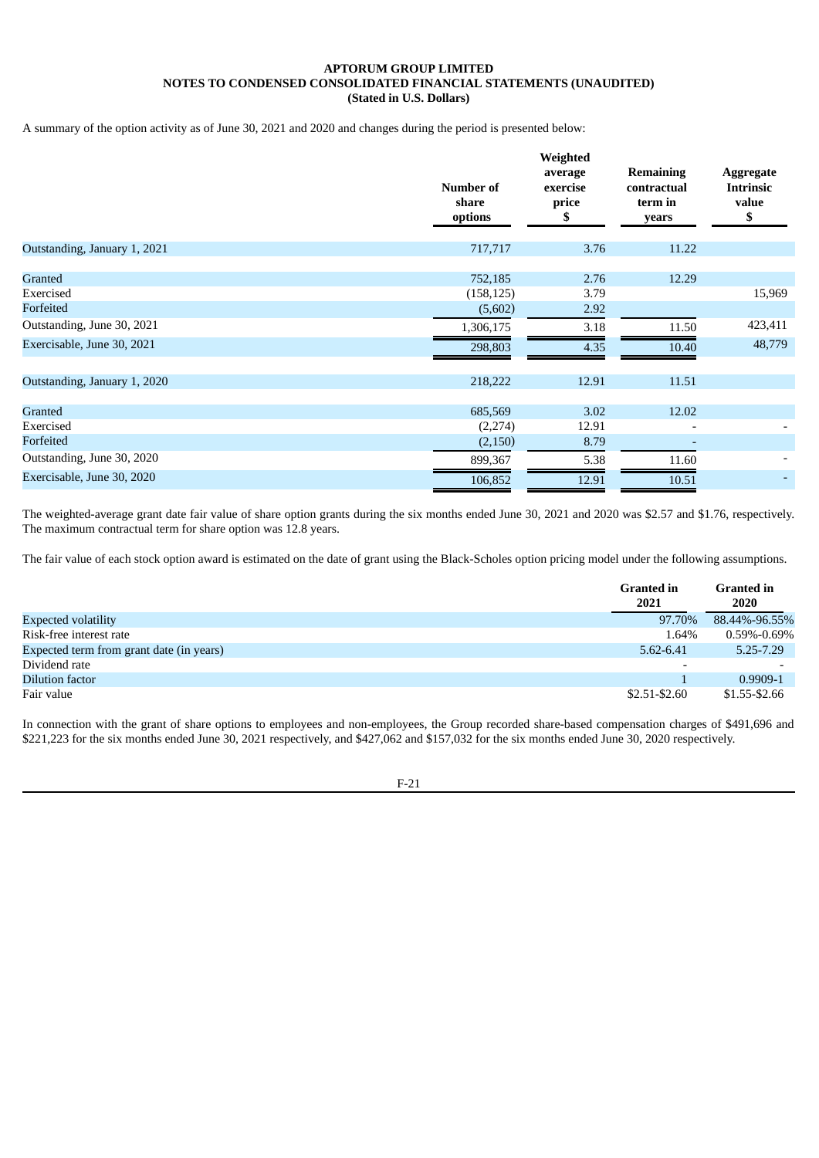A summary of the option activity as of June 30, 2021 and 2020 and changes during the period is presented below:

|                              | Number of<br>share<br>options | Weighted<br>average<br>exercise<br>price<br>SS. | <b>Remaining</b><br>contractual<br>term in<br>years | <b>Aggregate</b><br><b>Intrinsic</b><br>value<br>\$ |
|------------------------------|-------------------------------|-------------------------------------------------|-----------------------------------------------------|-----------------------------------------------------|
| Outstanding, January 1, 2021 | 717,717                       | 3.76                                            | 11.22                                               |                                                     |
| Granted<br>Exercised         | 752,185<br>(158, 125)         | 2.76<br>3.79                                    | 12.29                                               | 15,969                                              |
| Forfeited                    | (5,602)                       | 2.92                                            |                                                     |                                                     |
| Outstanding, June 30, 2021   | 1,306,175                     | 3.18                                            | 11.50                                               | 423,411                                             |
| Exercisable, June 30, 2021   | 298,803                       | 4.35                                            | 10.40                                               | 48,779                                              |
| Outstanding, January 1, 2020 | 218,222                       | 12.91                                           | 11.51                                               |                                                     |
| Granted                      | 685,569                       | 3.02                                            | 12.02                                               |                                                     |
| Exercised                    | (2,274)                       | 12.91                                           |                                                     |                                                     |
| Forfeited                    | (2, 150)                      | 8.79                                            | $\overline{\phantom{a}}$                            |                                                     |
| Outstanding, June 30, 2020   | 899,367                       | 5.38                                            | 11.60                                               |                                                     |
| Exercisable, June 30, 2020   | 106,852                       | 12.91                                           | 10.51                                               |                                                     |

The weighted-average grant date fair value of share option grants during the six months ended June 30, 2021 and 2020 was \$2.57 and \$1.76, respectively. The maximum contractual term for share option was 12.8 years.

The fair value of each stock option award is estimated on the date of grant using the Black-Scholes option pricing model under the following assumptions.

|                                          | <b>Granted in</b><br>2021 | <b>Granted in</b><br>2020 |
|------------------------------------------|---------------------------|---------------------------|
| <b>Expected volatility</b>               | 97.70%                    | 88.44%-96.55%             |
| Risk-free interest rate                  | 1.64%                     | $0.59\%$ -0.69%           |
| Expected term from grant date (in years) | 5.62-6.41                 | $5.25 - 7.29$             |
| Dividend rate                            |                           |                           |
| Dilution factor                          |                           | 0.9909-1                  |
| Fair value                               | $$2.51 - $2.60$           | \$1.55-\$2.66             |

In connection with the grant of share options to employees and non-employees, the Group recorded share-based compensation charges of \$491,696 and \$221,223 for the six months ended June 30, 2021 respectively, and \$427,062 and \$157,032 for the six months ended June 30, 2020 respectively.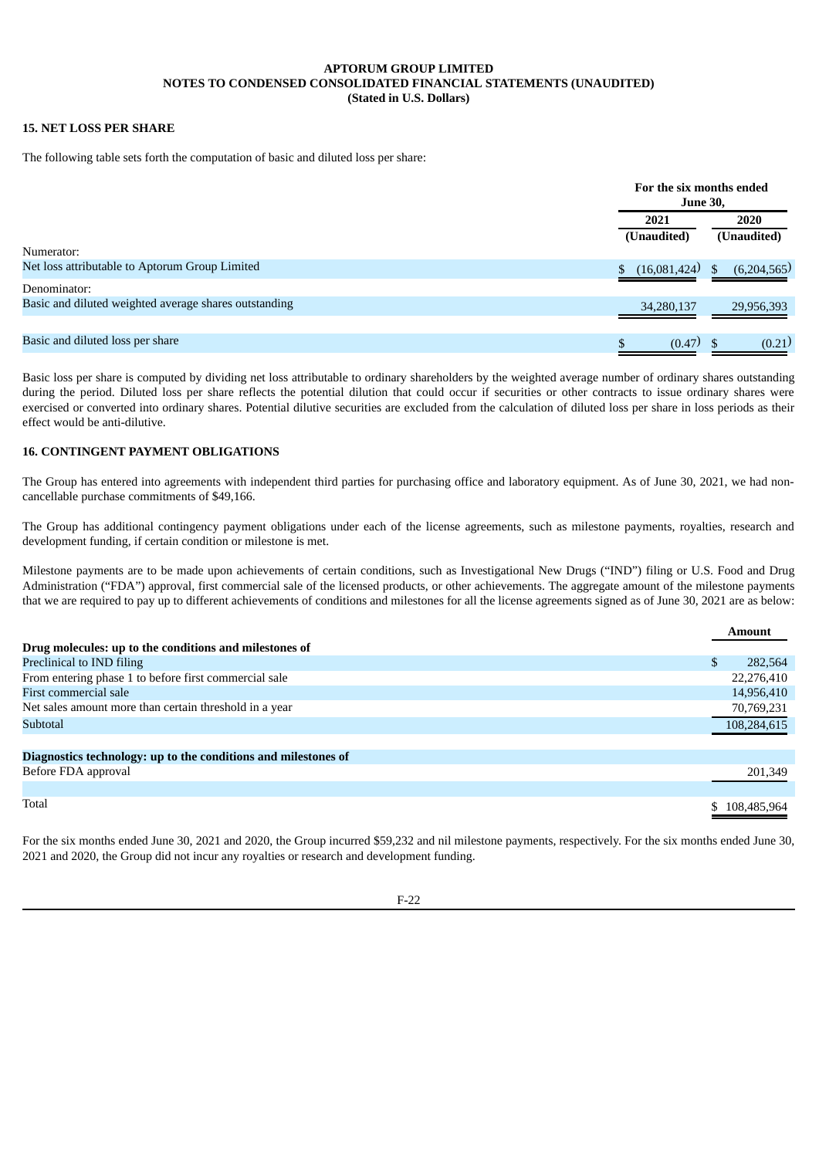## **15. NET LOSS PER SHARE**

The following table sets forth the computation of basic and diluted loss per share:

|                                                       | For the six months ended<br><b>June 30,</b> |                     |
|-------------------------------------------------------|---------------------------------------------|---------------------|
|                                                       | 2021<br>(Unaudited)                         | 2020<br>(Unaudited) |
| Numerator:                                            |                                             |                     |
| Net loss attributable to Aptorum Group Limited        | (16,081,424)                                | (6,204,565)<br>\$.  |
| Denominator:                                          |                                             |                     |
| Basic and diluted weighted average shares outstanding | 34,280,137                                  | 29,956,393          |
| Basic and diluted loss per share                      | $(0.47)$ \$<br>\$                           | (0.21)              |

Basic loss per share is computed by dividing net loss attributable to ordinary shareholders by the weighted average number of ordinary shares outstanding during the period. Diluted loss per share reflects the potential dilution that could occur if securities or other contracts to issue ordinary shares were exercised or converted into ordinary shares. Potential dilutive securities are excluded from the calculation of diluted loss per share in loss periods as their effect would be anti-dilutive.

### **16. CONTINGENT PAYMENT OBLIGATIONS**

The Group has entered into agreements with independent third parties for purchasing office and laboratory equipment. As of June 30, 2021, we had noncancellable purchase commitments of \$49,166.

The Group has additional contingency payment obligations under each of the license agreements, such as milestone payments, royalties, research and development funding, if certain condition or milestone is met.

Milestone payments are to be made upon achievements of certain conditions, such as Investigational New Drugs ("IND") filing or U.S. Food and Drug Administration ("FDA") approval, first commercial sale of the licensed products, or other achievements. The aggregate amount of the milestone payments that we are required to pay up to different achievements of conditions and milestones for all the license agreements signed as of June 30, 2021 are as below:

|                                                                | <b>Amount</b> |
|----------------------------------------------------------------|---------------|
| Drug molecules: up to the conditions and milestones of         |               |
| Preclinical to IND filing                                      | 282,564       |
| From entering phase 1 to before first commercial sale          | 22,276,410    |
| First commercial sale                                          | 14,956,410    |
| Net sales amount more than certain threshold in a year         | 70,769,231    |
| Subtotal                                                       | 108,284,615   |
|                                                                |               |
| Diagnostics technology: up to the conditions and milestones of |               |
| Before FDA approval                                            | 201,349       |
|                                                                |               |
| Total                                                          | \$108,485,964 |

For the six months ended June 30, 2021 and 2020, the Group incurred \$59,232 and nil milestone payments, respectively. For the six months ended June 30, 2021 and 2020, the Group did not incur any royalties or research and development funding.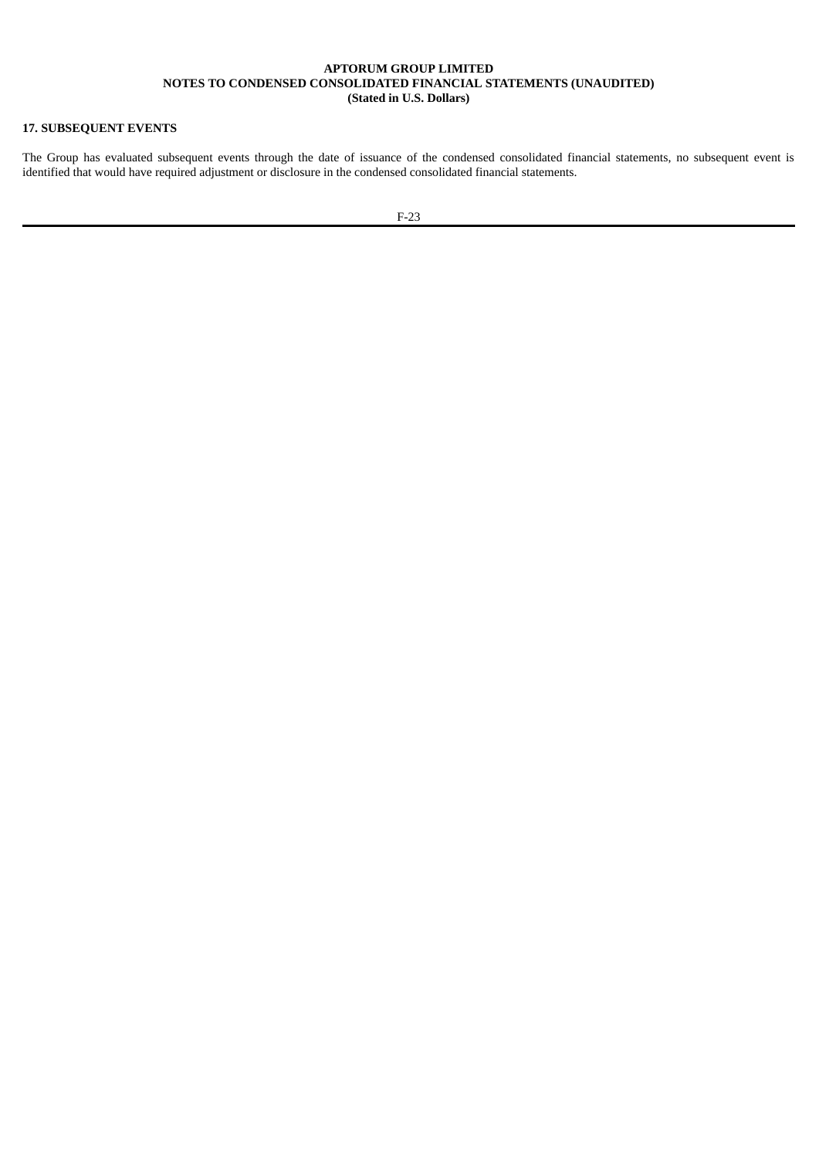## **17. SUBSEQUENT EVENTS**

The Group has evaluated subsequent events through the date of issuance of the condensed consolidated financial statements, no subsequent event is identified that would have required adjustment or disclosure in the condensed consolidated financial statements.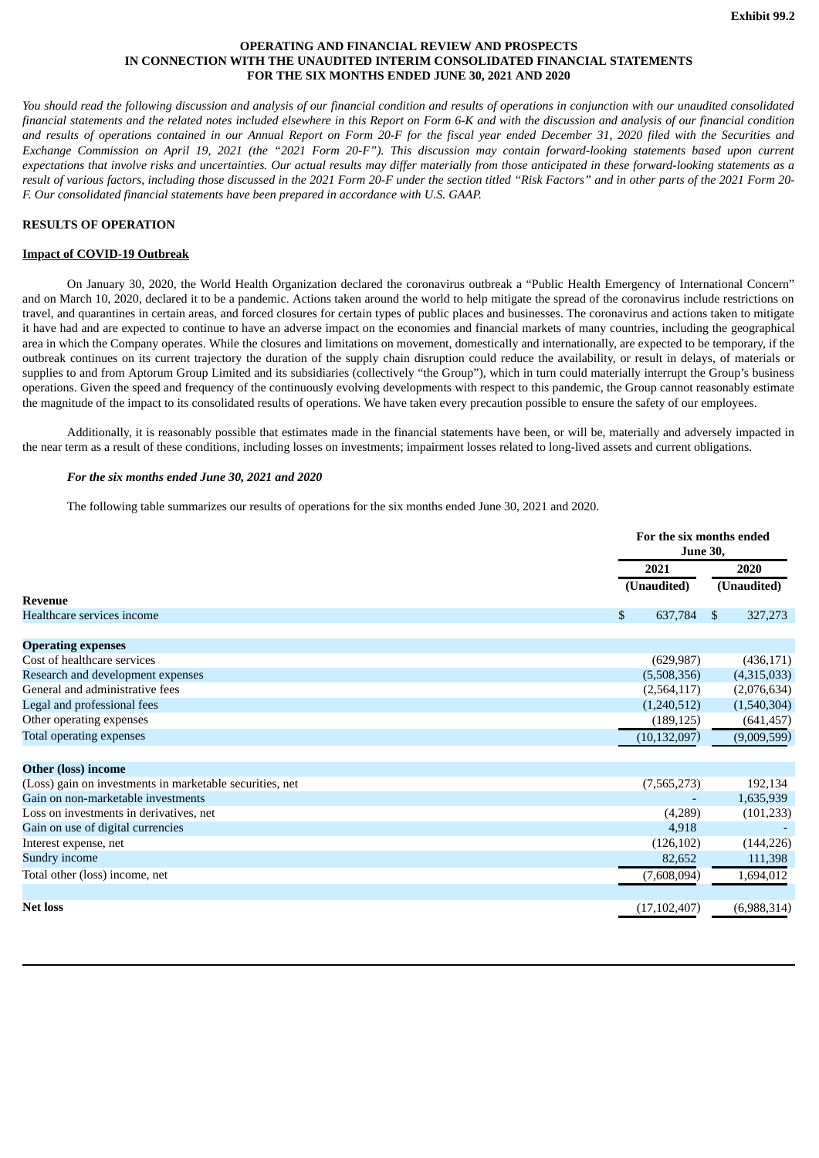### **OPERATING AND FINANCIAL REVIEW AND PROSPECTS IN CONNECTION WITH THE UNAUDITED INTERIM CONSOLIDATED FINANCIAL STATEMENTS FOR THE SIX MONTHS ENDED JUNE 30, 2021 AND 2020**

<span id="page-26-0"></span>You should read the following discussion and analysis of our financial condition and results of operations in conjunction with our unaudited consolidated financial statements and the related notes included elsewhere in this Report on Form 6-K and with the discussion and analysis of our financial condition and results of operations contained in our Annual Report on Form 20-F for the fiscal vear ended December 31, 2020 filed with the Securities and Exchange Commission on April 19, 2021 (the "2021 Form 20-F"). This discussion may contain forward-looking statements based upon current expectations that involve risks and uncertainties. Our actual results may differ materially from those anticipated in these forward-looking statements as a result of various factors, including those discussed in the 2021 Form 20-F under the section titled "Risk Factors" and in other parts of the 2021 Form 20-*F. Our consolidated financial statements have been prepared in accordance with U.S. GAAP.*

### **RESULTS OF OPERATION**

#### **Impact of COVID-19 Outbreak**

On January 30, 2020, the World Health Organization declared the coronavirus outbreak a "Public Health Emergency of International Concern" and on March 10, 2020, declared it to be a pandemic. Actions taken around the world to help mitigate the spread of the coronavirus include restrictions on travel, and quarantines in certain areas, and forced closures for certain types of public places and businesses. The coronavirus and actions taken to mitigate it have had and are expected to continue to have an adverse impact on the economies and financial markets of many countries, including the geographical area in which the Company operates. While the closures and limitations on movement, domestically and internationally, are expected to be temporary, if the outbreak continues on its current trajectory the duration of the supply chain disruption could reduce the availability, or result in delays, of materials or supplies to and from Aptorum Group Limited and its subsidiaries (collectively "the Group"), which in turn could materially interrupt the Group's business operations. Given the speed and frequency of the continuously evolving developments with respect to this pandemic, the Group cannot reasonably estimate the magnitude of the impact to its consolidated results of operations. We have taken every precaution possible to ensure the safety of our employees.

Additionally, it is reasonably possible that estimates made in the financial statements have been, or will be, materially and adversely impacted in the near term as a result of these conditions, including losses on investments; impairment losses related to long-lived assets and current obligations.

### *For the six months ended June 30, 2021 and 2020*

The following table summarizes our results of operations for the six months ended June 30, 2021 and 2020.

|                                                          | For the six months ended<br><b>June 30,</b> |                               |  |
|----------------------------------------------------------|---------------------------------------------|-------------------------------|--|
|                                                          | 2021                                        | 2020                          |  |
|                                                          | (Unaudited)                                 | (Unaudited)                   |  |
| <b>Revenue</b>                                           |                                             |                               |  |
| Healthcare services income                               | $\mathbb{S}$<br>637,784                     | $\mathbf{\hat{S}}$<br>327,273 |  |
|                                                          |                                             |                               |  |
| <b>Operating expenses</b>                                |                                             |                               |  |
| Cost of healthcare services                              | (629, 987)                                  | (436, 171)                    |  |
| Research and development expenses                        | (5,508,356)                                 | (4,315,033)                   |  |
| General and administrative fees                          | (2,564,117)                                 | (2,076,634)                   |  |
| Legal and professional fees                              | (1,240,512)                                 | (1,540,304)                   |  |
| Other operating expenses                                 | (189, 125)                                  | (641, 457)                    |  |
| <b>Total operating expenses</b>                          | (10, 132, 097)                              | (9,009,599)                   |  |
|                                                          |                                             |                               |  |
| <b>Other (loss) income</b>                               |                                             |                               |  |
| (Loss) gain on investments in marketable securities, net | (7,565,273)                                 | 192,134                       |  |
| Gain on non-marketable investments                       |                                             | 1,635,939                     |  |
| Loss on investments in derivatives, net                  | (4,289)                                     | (101, 233)                    |  |
| Gain on use of digital currencies                        | 4,918                                       |                               |  |
| Interest expense, net                                    | (126, 102)                                  | (144, 226)                    |  |
| Sundry income                                            | 82,652                                      | 111,398                       |  |
| Total other (loss) income, net                           | (7,608,094)                                 | 1,694,012                     |  |
|                                                          |                                             |                               |  |
| <b>Net loss</b>                                          | (17, 102, 407)                              | (6,988,314)                   |  |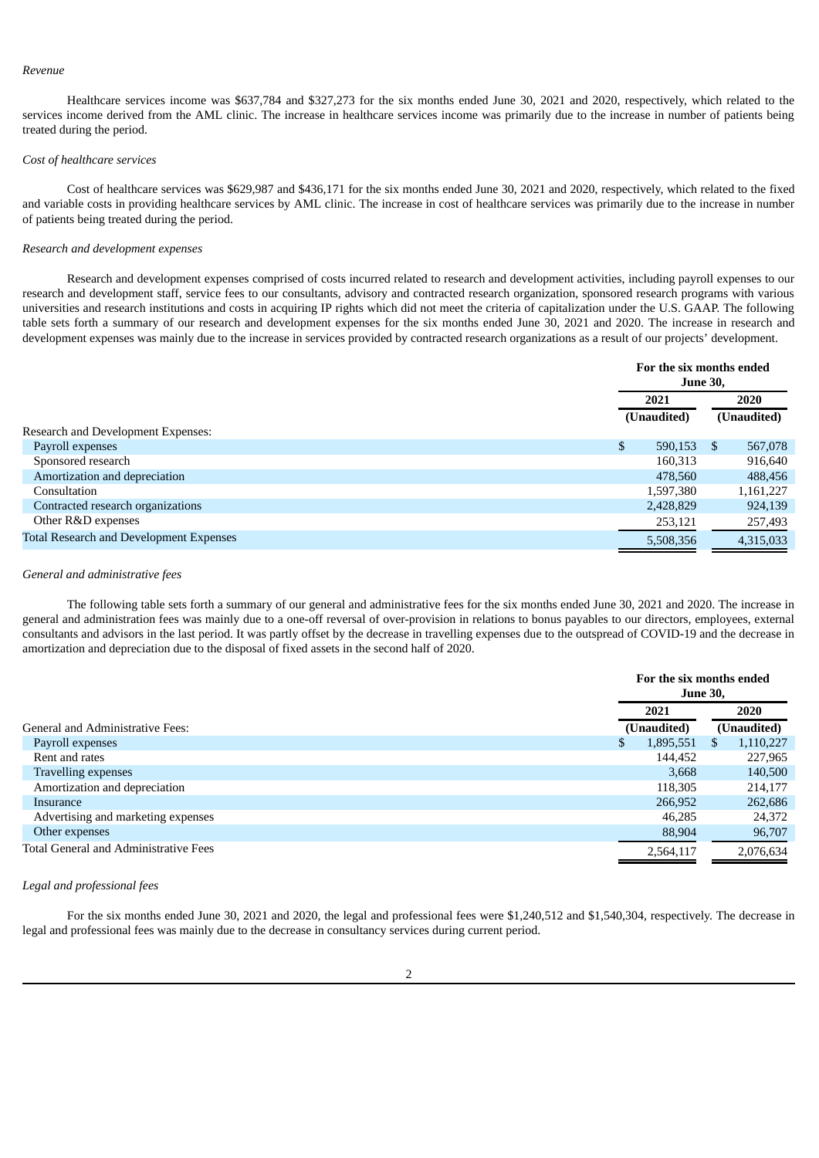#### *Revenue*

Healthcare services income was \$637,784 and \$327,273 for the six months ended June 30, 2021 and 2020, respectively, which related to the services income derived from the AML clinic. The increase in healthcare services income was primarily due to the increase in number of patients being treated during the period.

#### *Cost of healthcare services*

Cost of healthcare services was \$629,987 and \$436,171 for the six months ended June 30, 2021 and 2020, respectively, which related to the fixed and variable costs in providing healthcare services by AML clinic. The increase in cost of healthcare services was primarily due to the increase in number of patients being treated during the period.

#### *Research and development expenses*

Research and development expenses comprised of costs incurred related to research and development activities, including payroll expenses to our research and development staff, service fees to our consultants, advisory and contracted research organization, sponsored research programs with various universities and research institutions and costs in acquiring IP rights which did not meet the criteria of capitalization under the U.S. GAAP. The following table sets forth a summary of our research and development expenses for the six months ended June 30, 2021 and 2020. The increase in research and development expenses was mainly due to the increase in services provided by contracted research organizations as a result of our projects' development.

|                                                |    | For the six months ended<br><b>June 30.</b> |               |                     |  |
|------------------------------------------------|----|---------------------------------------------|---------------|---------------------|--|
|                                                |    | 2021<br>(Unaudited)                         |               | 2020<br>(Unaudited) |  |
|                                                |    |                                             |               |                     |  |
| Research and Development Expenses:             |    |                                             |               |                     |  |
| Payroll expenses                               | \$ | 590,153                                     | <sup>\$</sup> | 567,078             |  |
| Sponsored research                             |    | 160,313                                     |               | 916,640             |  |
| Amortization and depreciation                  |    | 478.560                                     |               | 488,456             |  |
| Consultation                                   |    | 1,597,380                                   |               | 1,161,227           |  |
| Contracted research organizations              |    | 2,428,829                                   |               | 924,139             |  |
| Other R&D expenses                             |    | 253,121                                     |               | 257,493             |  |
| <b>Total Research and Development Expenses</b> |    | 5,508,356                                   |               | 4,315,033           |  |

#### *General and administrative fees*

The following table sets forth a summary of our general and administrative fees for the six months ended June 30, 2021 and 2020. The increase in general and administration fees was mainly due to a one-off reversal of over-provision in relations to bonus payables to our directors, employees, external consultants and advisors in the last period. It was partly offset by the decrease in travelling expenses due to the outspread of COVID-19 and the decrease in amortization and depreciation due to the disposal of fixed assets in the second half of 2020.

|                                         | For the six months ended<br><b>June 30,</b> |             |   |             |
|-----------------------------------------|---------------------------------------------|-------------|---|-------------|
|                                         |                                             | 2021        |   | 2020        |
| <b>General and Administrative Fees:</b> |                                             | (Unaudited) |   | (Unaudited) |
| Payroll expenses                        | \$                                          | 1,895,551   | S | 1,110,227   |
| Rent and rates                          |                                             | 144,452     |   | 227,965     |
| Travelling expenses                     |                                             | 3.668       |   | 140,500     |
| Amortization and depreciation           |                                             | 118,305     |   | 214,177     |
| Insurance                               |                                             | 266,952     |   | 262,686     |
| Advertising and marketing expenses      |                                             | 46,285      |   | 24,372      |
| Other expenses                          |                                             | 88,904      |   | 96,707      |
| Total General and Administrative Fees   |                                             | 2,564,117   |   | 2,076,634   |

### *Legal and professional fees*

For the six months ended June 30, 2021 and 2020, the legal and professional fees were \$1,240,512 and \$1,540,304, respectively. The decrease in legal and professional fees was mainly due to the decrease in consultancy services during current period.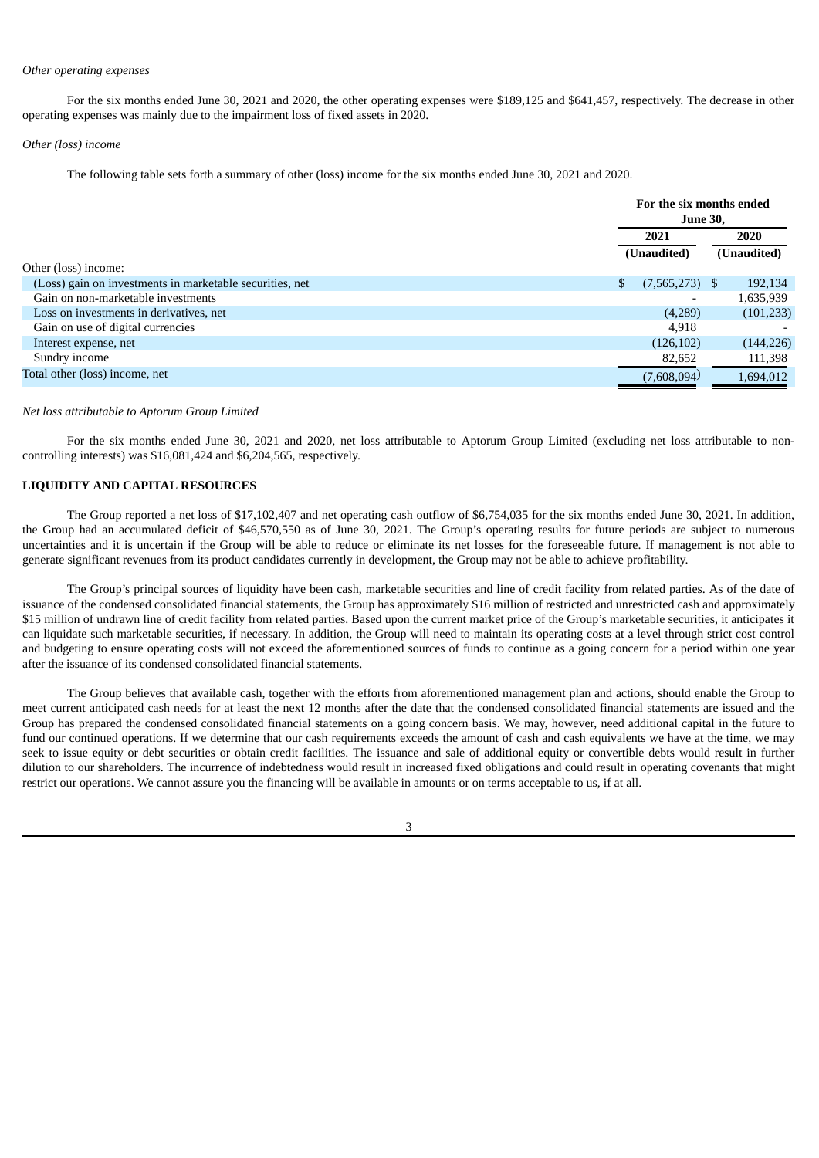#### *Other operating expenses*

For the six months ended June 30, 2021 and 2020, the other operating expenses were \$189,125 and \$641,457, respectively. The decrease in other operating expenses was mainly due to the impairment loss of fixed assets in 2020.

#### *Other (loss) income*

The following table sets forth a summary of other (loss) income for the six months ended June 30, 2021 and 2020.

|                                                          |    | For the six months ended<br><b>June 30,</b> |  |             |  |      |
|----------------------------------------------------------|----|---------------------------------------------|--|-------------|--|------|
|                                                          |    | 2021                                        |  |             |  | 2020 |
|                                                          |    | (Unaudited)                                 |  | (Unaudited) |  |      |
| Other (loss) income:                                     |    |                                             |  |             |  |      |
| (Loss) gain on investments in marketable securities, net | \$ | (7,565,273)                                 |  | 192,134     |  |      |
| Gain on non-marketable investments                       |    |                                             |  | 1,635,939   |  |      |
| Loss on investments in derivatives, net                  |    | (4,289)                                     |  | (101, 233)  |  |      |
| Gain on use of digital currencies                        |    | 4.918                                       |  |             |  |      |
| Interest expense, net                                    |    | (126, 102)                                  |  | (144, 226)  |  |      |
| Sundry income                                            |    | 82,652                                      |  | 111,398     |  |      |
| Total other (loss) income, net                           |    | (7,608,094)                                 |  | 1,694,012   |  |      |

#### *Net loss attributable to Aptorum Group Limited*

For the six months ended June 30, 2021 and 2020, net loss attributable to Aptorum Group Limited (excluding net loss attributable to noncontrolling interests) was \$16,081,424 and \$6,204,565, respectively.

### **LIQUIDITY AND CAPITAL RESOURCES**

The Group reported a net loss of \$17,102,407 and net operating cash outflow of \$6,754,035 for the six months ended June 30, 2021. In addition, the Group had an accumulated deficit of \$46,570,550 as of June 30, 2021. The Group's operating results for future periods are subject to numerous uncertainties and it is uncertain if the Group will be able to reduce or eliminate its net losses for the foreseeable future. If management is not able to generate significant revenues from its product candidates currently in development, the Group may not be able to achieve profitability.

The Group's principal sources of liquidity have been cash, marketable securities and line of credit facility from related parties. As of the date of issuance of the condensed consolidated financial statements, the Group has approximately \$16 million of restricted and unrestricted cash and approximately \$15 million of undrawn line of credit facility from related parties. Based upon the current market price of the Group's marketable securities, it anticipates it can liquidate such marketable securities, if necessary. In addition, the Group will need to maintain its operating costs at a level through strict cost control and budgeting to ensure operating costs will not exceed the aforementioned sources of funds to continue as a going concern for a period within one year after the issuance of its condensed consolidated financial statements.

The Group believes that available cash, together with the efforts from aforementioned management plan and actions, should enable the Group to meet current anticipated cash needs for at least the next 12 months after the date that the condensed consolidated financial statements are issued and the Group has prepared the condensed consolidated financial statements on a going concern basis. We may, however, need additional capital in the future to fund our continued operations. If we determine that our cash requirements exceeds the amount of cash and cash equivalents we have at the time, we may seek to issue equity or debt securities or obtain credit facilities. The issuance and sale of additional equity or convertible debts would result in further dilution to our shareholders. The incurrence of indebtedness would result in increased fixed obligations and could result in operating covenants that might restrict our operations. We cannot assure you the financing will be available in amounts or on terms acceptable to us, if at all.

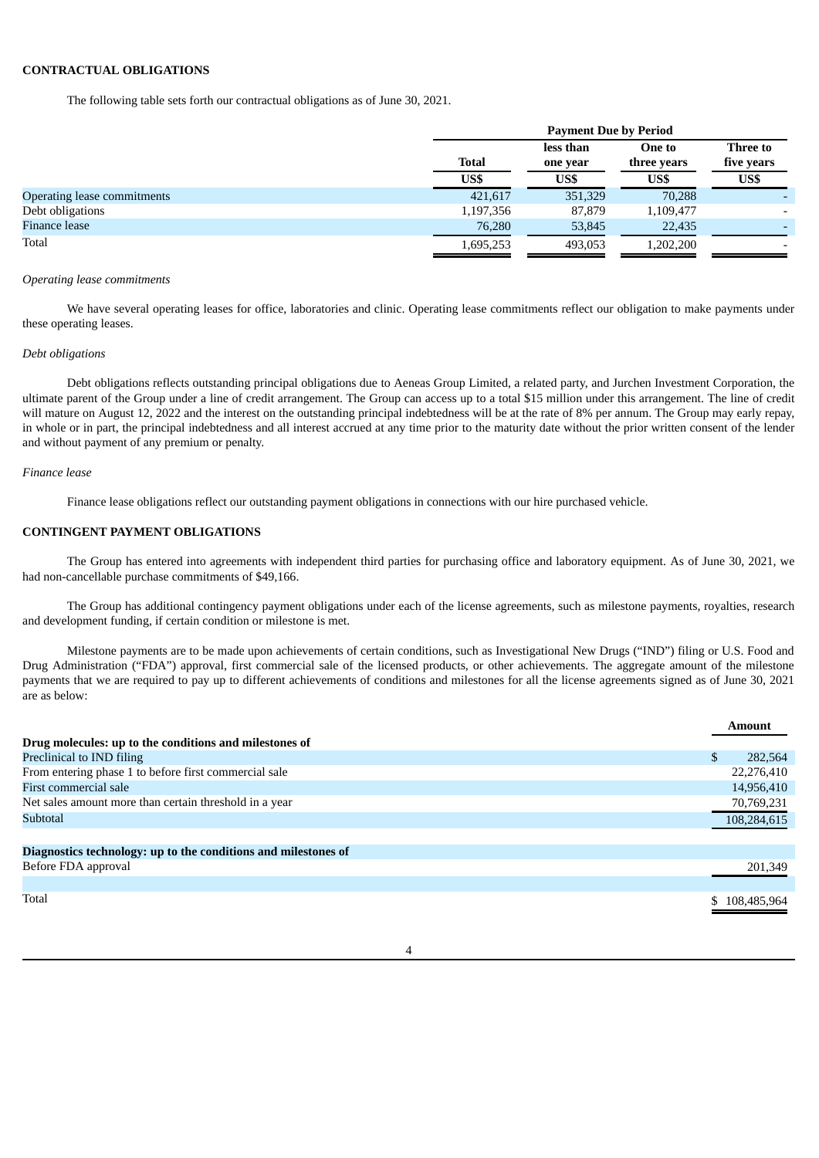### **CONTRACTUAL OBLIGATIONS**

The following table sets forth our contractual obligations as of June 30, 2021.

|                             | <b>Payment Due by Period</b> |                       |                       |                        |  |  |
|-----------------------------|------------------------------|-----------------------|-----------------------|------------------------|--|--|
|                             | <b>Total</b>                 | less than<br>one year | One to<br>three years | Three to<br>five years |  |  |
|                             | US\$                         | US\$                  | US\$                  | US\$                   |  |  |
| Operating lease commitments | 421,617                      | 351,329               | 70,288                |                        |  |  |
| Debt obligations            | 1,197,356                    | 87,879                | 1,109,477             |                        |  |  |
| Finance lease               | 76,280                       | 53,845                | 22,435                | -                      |  |  |
| Total                       | 1,695,253                    | 493,053               | 1,202,200             |                        |  |  |

#### *Operating lease commitments*

We have several operating leases for office, laboratories and clinic. Operating lease commitments reflect our obligation to make payments under these operating leases.

#### *Debt obligations*

Debt obligations reflects outstanding principal obligations due to Aeneas Group Limited, a related party, and Jurchen Investment Corporation, the ultimate parent of the Group under a line of credit arrangement. The Group can access up to a total \$15 million under this arrangement. The line of credit will mature on August 12, 2022 and the interest on the outstanding principal indebtedness will be at the rate of 8% per annum. The Group may early repay, in whole or in part, the principal indebtedness and all interest accrued at any time prior to the maturity date without the prior written consent of the lender and without payment of any premium or penalty.

#### *Finance lease*

Finance lease obligations reflect our outstanding payment obligations in connections with our hire purchased vehicle.

### **CONTINGENT PAYMENT OBLIGATIONS**

The Group has entered into agreements with independent third parties for purchasing office and laboratory equipment. As of June 30, 2021, we had non-cancellable purchase commitments of \$49,166.

The Group has additional contingency payment obligations under each of the license agreements, such as milestone payments, royalties, research and development funding, if certain condition or milestone is met.

Milestone payments are to be made upon achievements of certain conditions, such as Investigational New Drugs ("IND") filing or U.S. Food and Drug Administration ("FDA") approval, first commercial sale of the licensed products, or other achievements. The aggregate amount of the milestone payments that we are required to pay up to different achievements of conditions and milestones for all the license agreements signed as of June 30, 2021 are as below:

|                                                                | Amount        |
|----------------------------------------------------------------|---------------|
| Drug molecules: up to the conditions and milestones of         |               |
| Preclinical to IND filing                                      | 282,564       |
| From entering phase 1 to before first commercial sale          | 22,276,410    |
| First commercial sale                                          | 14,956,410    |
| Net sales amount more than certain threshold in a year         | 70,769,231    |
| Subtotal                                                       | 108,284,615   |
| Diagnostics technology: up to the conditions and milestones of |               |
| Before FDA approval                                            | 201,349       |
|                                                                |               |
| Total                                                          | \$108,485,964 |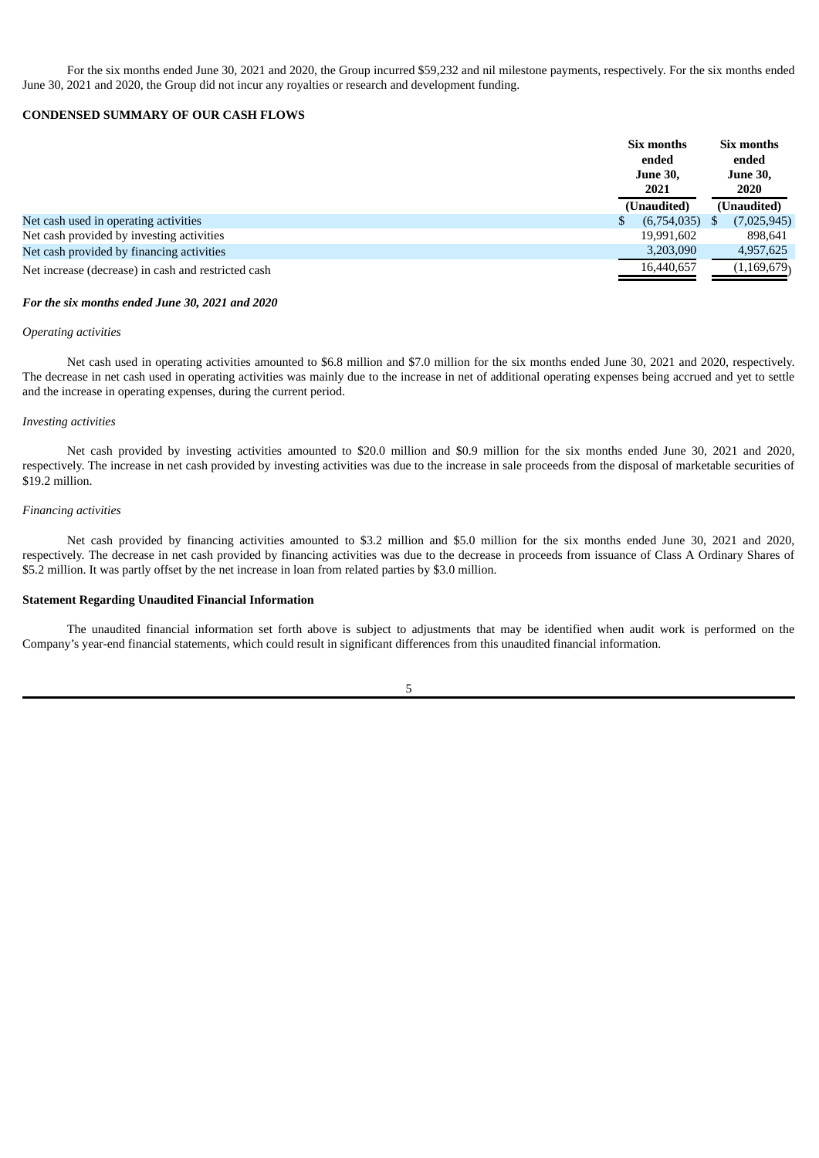For the six months ended June 30, 2021 and 2020, the Group incurred \$59,232 and nil milestone payments, respectively. For the six months ended June 30, 2021 and 2020, the Group did not incur any royalties or research and development funding.

### **CONDENSED SUMMARY OF OUR CASH FLOWS**

|                                                     | Six months<br>ended<br><b>June 30,</b><br>2021 |     | Six months<br>ended<br><b>June 30,</b><br><b>2020</b> |
|-----------------------------------------------------|------------------------------------------------|-----|-------------------------------------------------------|
|                                                     | (Unaudited)                                    |     | (Unaudited)                                           |
| Net cash used in operating activities               | (6,754,035)                                    | \$. | (7,025,945)                                           |
| Net cash provided by investing activities           | 19,991,602                                     |     | 898,641                                               |
| Net cash provided by financing activities           | 3,203,090                                      |     | 4,957,625                                             |
| Net increase (decrease) in cash and restricted cash | 16,440,657                                     |     | (1, 169, 679)                                         |

#### *For the six months ended June 30, 2021 and 2020*

#### *Operating activities*

Net cash used in operating activities amounted to \$6.8 million and \$7.0 million for the six months ended June 30, 2021 and 2020, respectively. The decrease in net cash used in operating activities was mainly due to the increase in net of additional operating expenses being accrued and yet to settle and the increase in operating expenses, during the current period.

### *Investing activities*

Net cash provided by investing activities amounted to \$20.0 million and \$0.9 million for the six months ended June 30, 2021 and 2020, respectively. The increase in net cash provided by investing activities was due to the increase in sale proceeds from the disposal of marketable securities of \$19.2 million.

### *Financing activities*

Net cash provided by financing activities amounted to \$3.2 million and \$5.0 million for the six months ended June 30, 2021 and 2020, respectively. The decrease in net cash provided by financing activities was due to the decrease in proceeds from issuance of Class A Ordinary Shares of \$5.2 million. It was partly offset by the net increase in loan from related parties by \$3.0 million.

### **Statement Regarding Unaudited Financial Information**

The unaudited financial information set forth above is subject to adjustments that may be identified when audit work is performed on the Company's year-end financial statements, which could result in significant differences from this unaudited financial information.

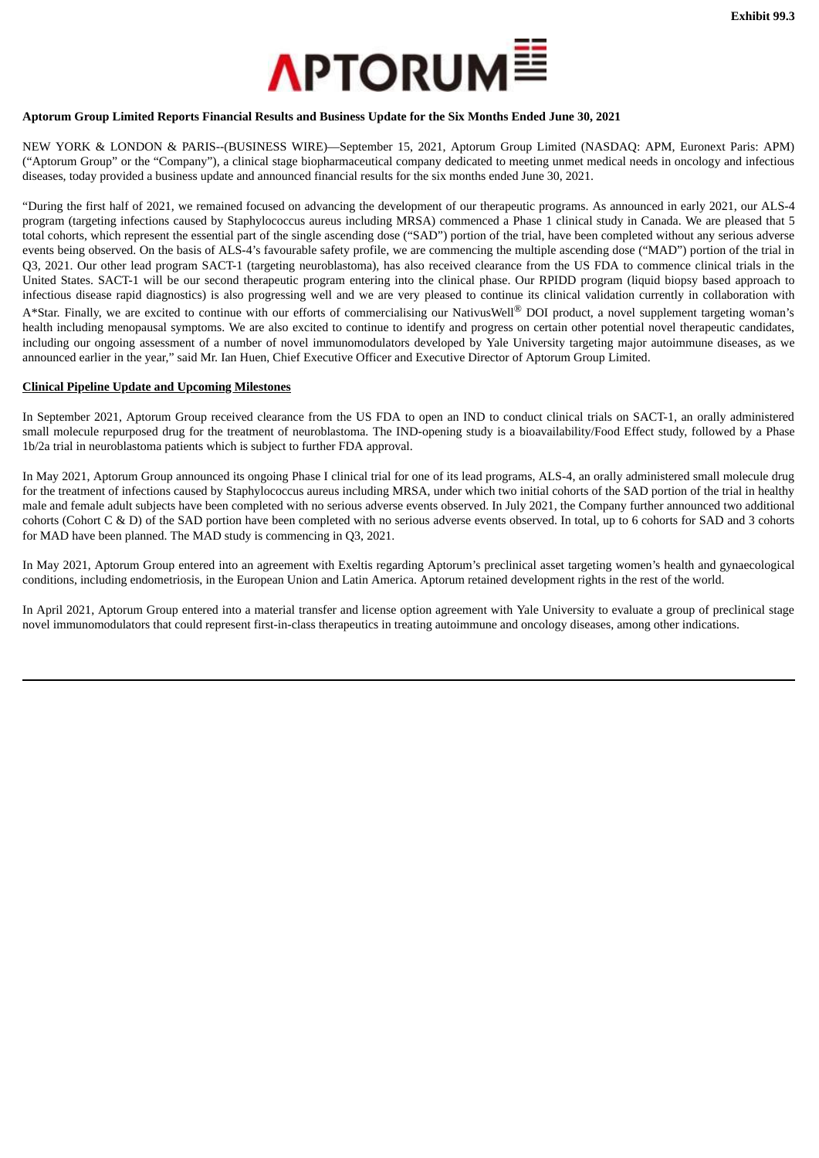

### <span id="page-31-0"></span>Aptorum Group Limited Reports Financial Results and Business Update for the Six Months Ended June 30, 2021

NEW YORK & LONDON & PARIS--(BUSINESS WIRE)—September 15, 2021, Aptorum Group Limited (NASDAQ: APM, Euronext Paris: APM) ("Aptorum Group" or the "Company"), a clinical stage biopharmaceutical company dedicated to meeting unmet medical needs in oncology and infectious diseases, today provided a business update and announced financial results for the six months ended June 30, 2021.

"During the first half of 2021, we remained focused on advancing the development of our therapeutic programs. As announced in early 2021, our ALS-4 program (targeting infections caused by Staphylococcus aureus including MRSA) commenced a Phase 1 clinical study in Canada. We are pleased that 5 total cohorts, which represent the essential part of the single ascending dose ("SAD") portion of the trial, have been completed without any serious adverse events being observed. On the basis of ALS-4's favourable safety profile, we are commencing the multiple ascending dose ("MAD") portion of the trial in Q3, 2021. Our other lead program SACT-1 (targeting neuroblastoma), has also received clearance from the US FDA to commence clinical trials in the United States. SACT-1 will be our second therapeutic program entering into the clinical phase. Our RPIDD program (liquid biopsy based approach to infectious disease rapid diagnostics) is also progressing well and we are very pleased to continue its clinical validation currently in collaboration with A\*Star. Finally, we are excited to continue with our efforts of commercialising our NativusWell® DOI product, a novel supplement targeting woman's health including menopausal symptoms. We are also excited to continue to identify and progress on certain other potential novel therapeutic candidates, including our ongoing assessment of a number of novel immunomodulators developed by Yale University targeting major autoimmune diseases, as we announced earlier in the year," said Mr. Ian Huen, Chief Executive Officer and Executive Director of Aptorum Group Limited.

### **Clinical Pipeline Update and Upcoming Milestones**

In September 2021, Aptorum Group received clearance from the US FDA to open an IND to conduct clinical trials on SACT-1, an orally administered small molecule repurposed drug for the treatment of neuroblastoma. The IND-opening study is a bioavailability/Food Effect study, followed by a Phase 1b/2a trial in neuroblastoma patients which is subject to further FDA approval.

In May 2021, Aptorum Group announced its ongoing Phase I clinical trial for one of its lead programs, ALS-4, an orally administered small molecule drug for the treatment of infections caused by Staphylococcus aureus including MRSA, under which two initial cohorts of the SAD portion of the trial in healthy male and female adult subjects have been completed with no serious adverse events observed. In July 2021, the Company further announced two additional cohorts (Cohort C & D) of the SAD portion have been completed with no serious adverse events observed. In total, up to 6 cohorts for SAD and 3 cohorts for MAD have been planned. The MAD study is commencing in Q3, 2021.

In May 2021, Aptorum Group entered into an agreement with Exeltis regarding Aptorum's preclinical asset targeting women's health and gynaecological conditions, including endometriosis, in the European Union and Latin America. Aptorum retained development rights in the rest of the world.

In April 2021, Aptorum Group entered into a material transfer and license option agreement with Yale University to evaluate a group of preclinical stage novel immunomodulators that could represent first-in-class therapeutics in treating autoimmune and oncology diseases, among other indications.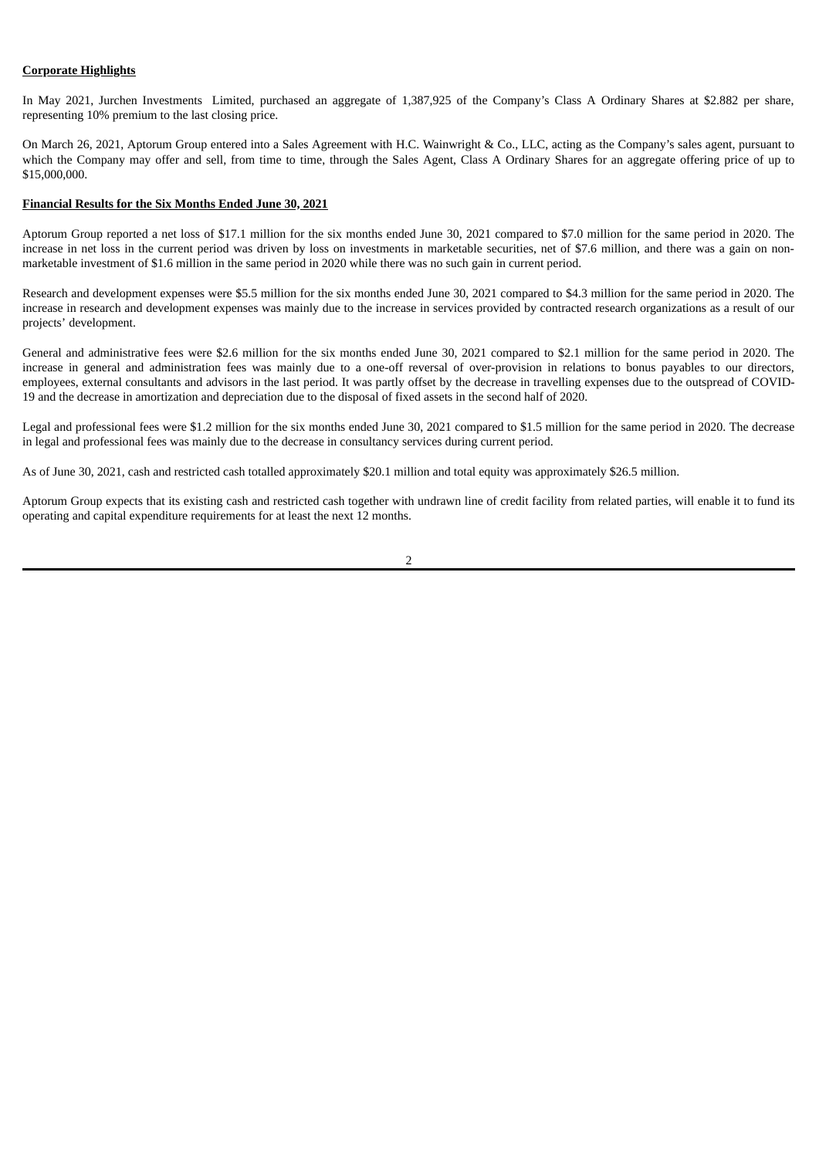### **Corporate Highlights**

In May 2021, Jurchen Investments Limited, purchased an aggregate of 1,387,925 of the Company's Class A Ordinary Shares at \$2.882 per share, representing 10% premium to the last closing price.

On March 26, 2021, Aptorum Group entered into a Sales Agreement with H.C. Wainwright & Co., LLC, acting as the Company's sales agent, pursuant to which the Company may offer and sell, from time to time, through the Sales Agent, Class A Ordinary Shares for an aggregate offering price of up to \$15,000,000.

#### **Financial Results for the Six Months Ended June 30, 2021**

Aptorum Group reported a net loss of \$17.1 million for the six months ended June 30, 2021 compared to \$7.0 million for the same period in 2020. The increase in net loss in the current period was driven by loss on investments in marketable securities, net of \$7.6 million, and there was a gain on nonmarketable investment of \$1.6 million in the same period in 2020 while there was no such gain in current period.

Research and development expenses were \$5.5 million for the six months ended June 30, 2021 compared to \$4.3 million for the same period in 2020. The increase in research and development expenses was mainly due to the increase in services provided by contracted research organizations as a result of our projects' development.

General and administrative fees were \$2.6 million for the six months ended June 30, 2021 compared to \$2.1 million for the same period in 2020. The increase in general and administration fees was mainly due to a one-off reversal of over-provision in relations to bonus payables to our directors, employees, external consultants and advisors in the last period. It was partly offset by the decrease in travelling expenses due to the outspread of COVID-19 and the decrease in amortization and depreciation due to the disposal of fixed assets in the second half of 2020.

Legal and professional fees were \$1.2 million for the six months ended June 30, 2021 compared to \$1.5 million for the same period in 2020. The decrease in legal and professional fees was mainly due to the decrease in consultancy services during current period.

As of June 30, 2021, cash and restricted cash totalled approximately \$20.1 million and total equity was approximately \$26.5 million.

Aptorum Group expects that its existing cash and restricted cash together with undrawn line of credit facility from related parties, will enable it to fund its operating and capital expenditure requirements for at least the next 12 months.

2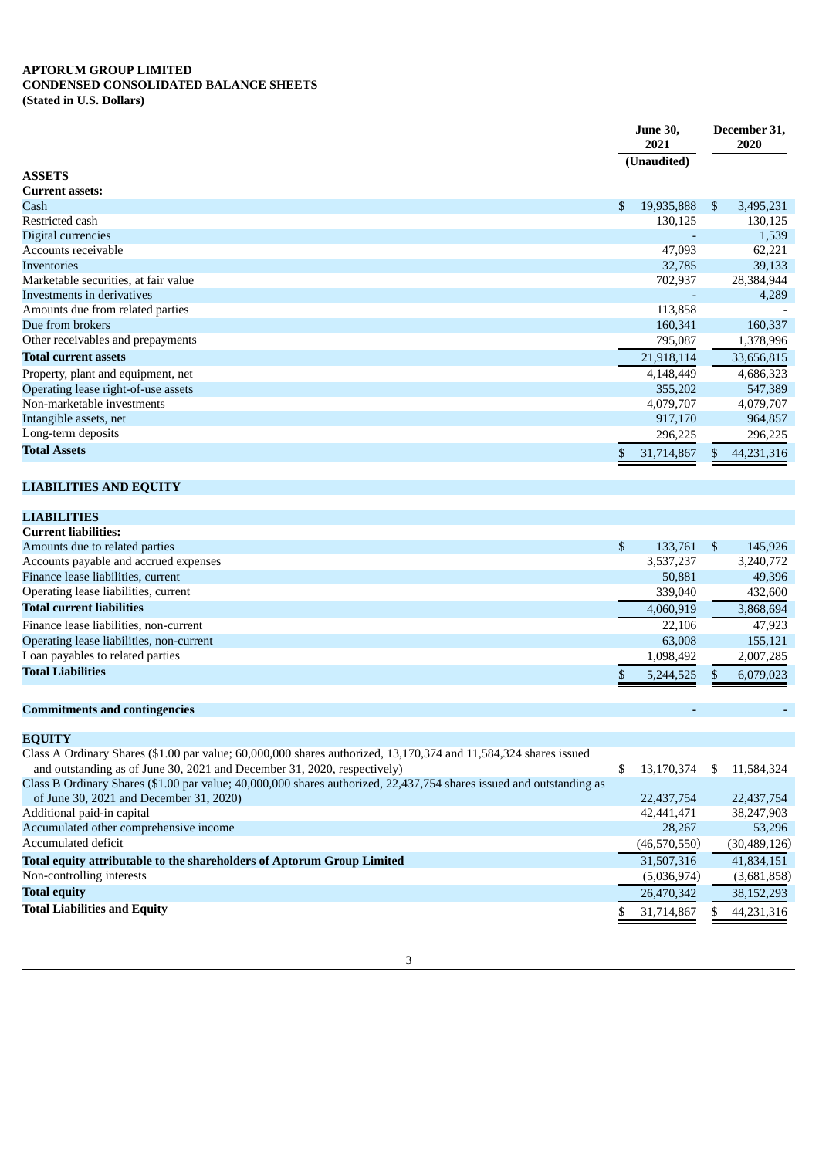### **APTORUM GROUP LIMITED CONDENSED CONSOLIDATED BALANCE SHEETS (Stated in U.S. Dollars)**

|                                      |     | <b>June 30,</b><br>2021<br>(Unaudited) |     | December 31,<br>2020 |  |
|--------------------------------------|-----|----------------------------------------|-----|----------------------|--|
|                                      |     |                                        |     |                      |  |
| <b>ASSETS</b>                        |     |                                        |     |                      |  |
| <b>Current assets:</b>               |     |                                        |     |                      |  |
| Cash                                 | \$. | 19,935,888                             | \$. | 3,495,231            |  |
| Restricted cash                      |     | 130,125                                |     | 130,125              |  |
| Digital currencies                   |     |                                        |     | 1,539                |  |
| Accounts receivable                  |     | 47,093                                 |     | 62,221               |  |
| <b>Inventories</b>                   |     | 32,785                                 |     | 39,133               |  |
| Marketable securities, at fair value |     | 702,937                                |     | 28,384,944           |  |
| Investments in derivatives           |     |                                        |     | 4,289                |  |
| Amounts due from related parties     |     | 113,858                                |     |                      |  |
| Due from brokers                     |     | 160,341                                |     | 160,337              |  |
| Other receivables and prepayments    |     | 795,087                                |     | 1,378,996            |  |
| <b>Total current assets</b>          |     | 21,918,114                             |     | 33,656,815           |  |
| Property, plant and equipment, net   |     | 4,148,449                              |     | 4,686,323            |  |
| Operating lease right-of-use assets  |     | 355,202                                |     | 547,389              |  |
| Non-marketable investments           |     | 4,079,707                              |     | 4,079,707            |  |
| Intangible assets, net               |     | 917,170                                |     | 964,857              |  |
| Long-term deposits                   |     | 296,225                                |     | 296,225              |  |
| <b>Total Assets</b>                  | \$  | 31,714,867                             | \$. | 44,231,316           |  |

# **LIABILITIES AND EQUITY**

| <b>LIABILITIES</b>                       |               |           |     |           |
|------------------------------------------|---------------|-----------|-----|-----------|
| <b>Current liabilities:</b>              |               |           |     |           |
| Amounts due to related parties           | <sup>\$</sup> | 133,761   | \$. | 145,926   |
| Accounts payable and accrued expenses    |               | 3,537,237 |     | 3,240,772 |
| Finance lease liabilities, current       |               | 50,881    |     | 49,396    |
| Operating lease liabilities, current     |               | 339,040   |     | 432,600   |
| <b>Total current liabilities</b>         |               | 4,060,919 |     | 3,868,694 |
| Finance lease liabilities, non-current   |               | 22,106    |     | 47.923    |
| Operating lease liabilities, non-current |               | 63,008    |     | 155,121   |
| Loan payables to related parties         |               | 1,098,492 |     | 2,007,285 |
| <b>Total Liabilities</b>                 |               | 5,244,525 | S.  | 6,079,023 |
|                                          |               |           |     |           |

# **Commitments and contingencies - -**

**EQUITY**

| Class A Ordinary Shares (\$1.00 par value; 60,000,000 shares authorized, 13,170,374 and 11,584,324 shares issued     |                |    |              |
|----------------------------------------------------------------------------------------------------------------------|----------------|----|--------------|
| and outstanding as of June 30, 2021 and December 31, 2020, respectively)                                             | 13,170,374     | S. | 11,584,324   |
| Class B Ordinary Shares (\$1.00 par value; 40,000,000 shares authorized, 22,437,754 shares issued and outstanding as |                |    |              |
| of June 30, 2021 and December 31, 2020)                                                                              | 22,437,754     |    | 22,437,754   |
| Additional paid-in capital                                                                                           | 42,441,471     |    | 38,247,903   |
| Accumulated other comprehensive income                                                                               | 28,267         |    | 53.296       |
| Accumulated deficit                                                                                                  | (46, 570, 550) |    | (30,489,126) |
| Total equity attributable to the shareholders of Aptorum Group Limited                                               | 31,507,316     |    | 41,834,151   |
| Non-controlling interests                                                                                            | (5,036,974)    |    | (3,681,858)  |
| <b>Total equity</b>                                                                                                  | 26,470,342     |    | 38,152,293   |
| <b>Total Liabilities and Equity</b>                                                                                  | 31,714,867     |    | 44,231,316   |
|                                                                                                                      |                |    |              |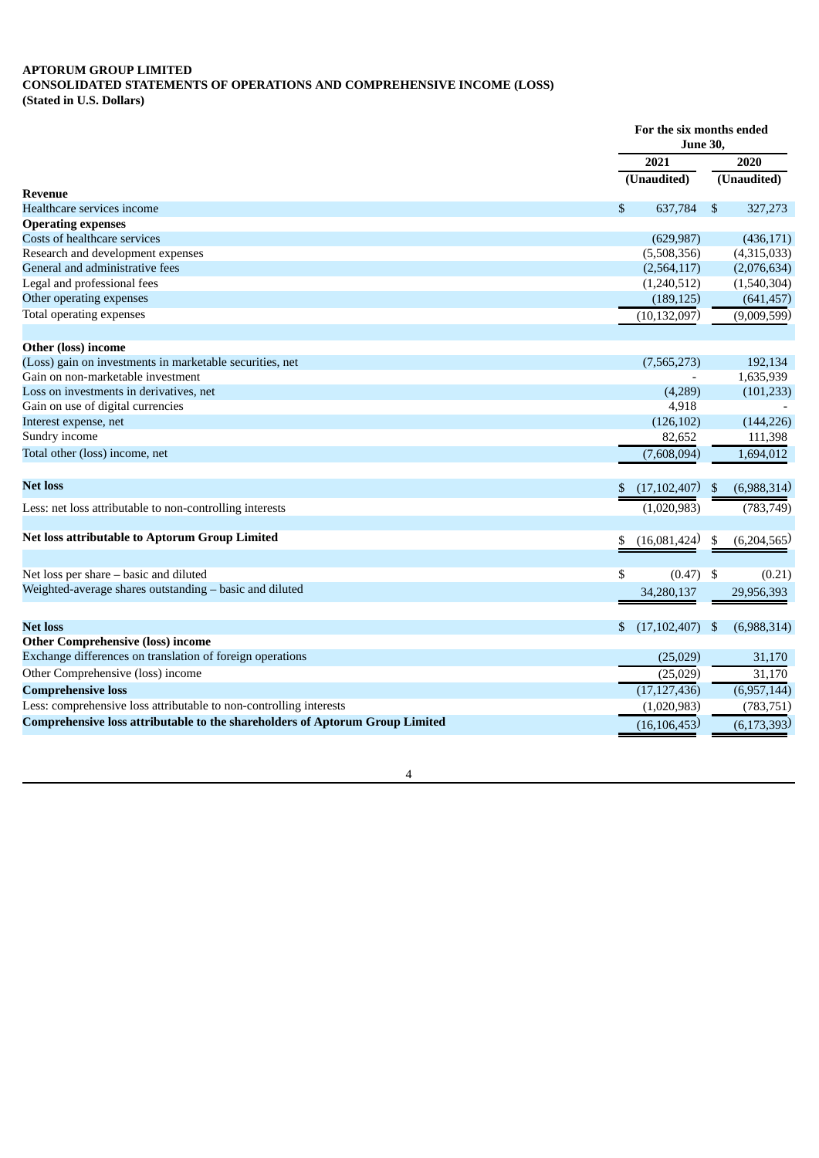## **APTORUM GROUP LIMITED CONSOLIDATED STATEMENTS OF OPERATIONS AND COMPREHENSIVE INCOME (LOSS) (Stated in U.S. Dollars)**

|                                                                              |    | For the six months ended<br><b>June 30,</b> |     |               |  |
|------------------------------------------------------------------------------|----|---------------------------------------------|-----|---------------|--|
|                                                                              |    | 2021                                        |     | 2020          |  |
|                                                                              |    | (Unaudited)                                 |     | (Unaudited)   |  |
| Revenue                                                                      |    |                                             |     |               |  |
| Healthcare services income                                                   | \$ | 637,784                                     | \$  | 327,273       |  |
| <b>Operating expenses</b>                                                    |    |                                             |     |               |  |
| Costs of healthcare services                                                 |    | (629, 987)                                  |     | (436, 171)    |  |
| Research and development expenses                                            |    | (5,508,356)                                 |     | (4,315,033)   |  |
| General and administrative fees                                              |    | (2,564,117)                                 |     | (2,076,634)   |  |
| Legal and professional fees                                                  |    | (1,240,512)                                 |     | (1,540,304)   |  |
| Other operating expenses                                                     |    | (189, 125)                                  |     | (641, 457)    |  |
| Total operating expenses                                                     |    | (10, 132, 097)                              |     | (9,009,599)   |  |
| <b>Other (loss) income</b>                                                   |    |                                             |     |               |  |
| (Loss) gain on investments in marketable securities, net                     |    | (7,565,273)                                 |     | 192,134       |  |
| Gain on non-marketable investment                                            |    |                                             |     | 1,635,939     |  |
| Loss on investments in derivatives, net                                      |    | (4,289)                                     |     | (101, 233)    |  |
| Gain on use of digital currencies                                            |    | 4,918                                       |     |               |  |
| Interest expense, net                                                        |    | (126, 102)                                  |     | (144, 226)    |  |
| Sundry income                                                                |    | 82,652                                      |     | 111,398       |  |
| Total other (loss) income, net                                               |    | (7,608,094)                                 |     | 1,694,012     |  |
|                                                                              |    |                                             |     |               |  |
| <b>Net loss</b>                                                              | \$ | (17, 102, 407)                              | -\$ | (6,988,314)   |  |
| Less: net loss attributable to non-controlling interests                     |    | (1,020,983)                                 |     | (783, 749)    |  |
| Net loss attributable to Aptorum Group Limited                               | \$ | (16,081,424)                                | \$  | (6,204,565)   |  |
|                                                                              |    |                                             |     |               |  |
| Net loss per share - basic and diluted                                       | \$ | (0.47)                                      | \$  | (0.21)        |  |
| Weighted-average shares outstanding – basic and diluted                      |    | 34,280,137                                  |     | 29,956,393    |  |
| <b>Net loss</b>                                                              | \$ | (17, 102, 407)                              | -\$ | (6,988,314)   |  |
| <b>Other Comprehensive (loss) income</b>                                     |    |                                             |     |               |  |
| Exchange differences on translation of foreign operations                    |    |                                             |     |               |  |
| Other Comprehensive (loss) income                                            |    | (25,029)                                    |     | 31,170        |  |
|                                                                              |    | (25,029)                                    |     | 31,170        |  |
| <b>Comprehensive loss</b>                                                    |    | (17, 127, 436)                              |     | (6,957,144)   |  |
| Less: comprehensive loss attributable to non-controlling interests           |    | (1,020,983)                                 |     | (783, 751)    |  |
| Comprehensive loss attributable to the shareholders of Aptorum Group Limited |    | (16, 106, 453)                              |     | (6, 173, 393) |  |

4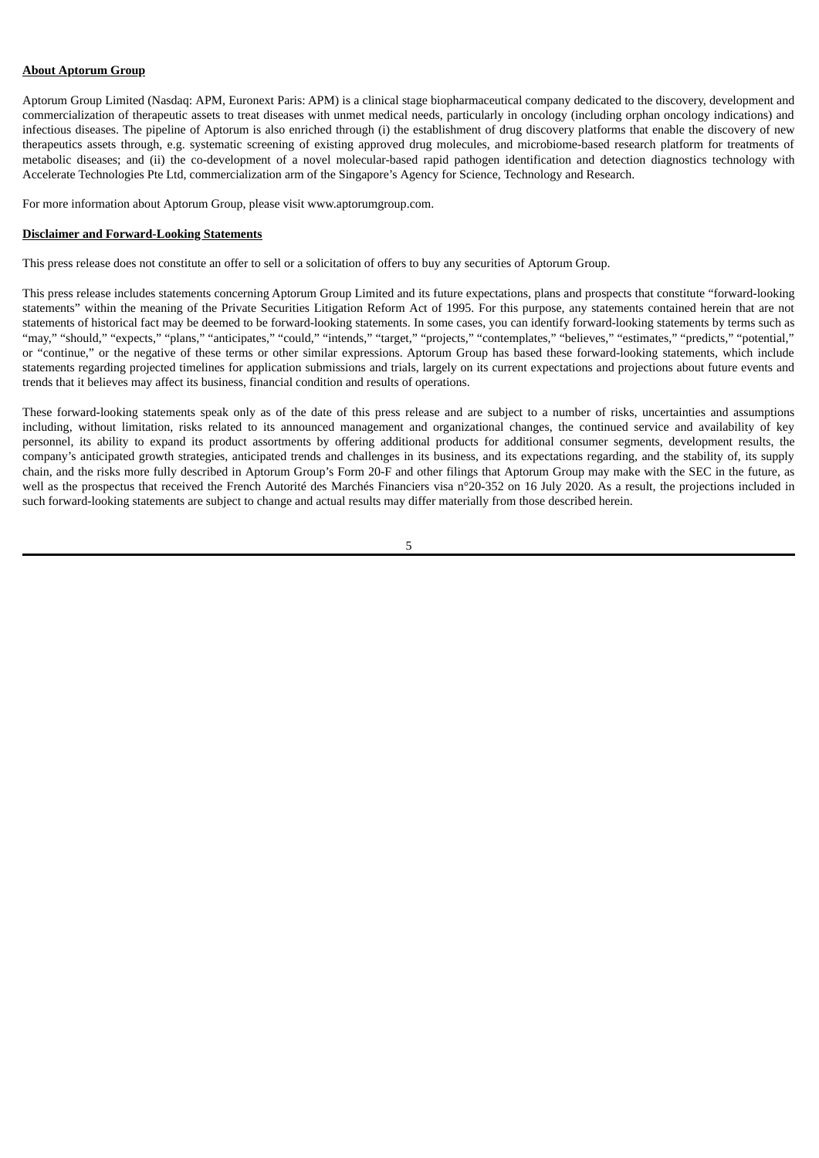### **About Aptorum Group**

Aptorum Group Limited (Nasdaq: APM, Euronext Paris: APM) is a clinical stage biopharmaceutical company dedicated to the discovery, development and commercialization of therapeutic assets to treat diseases with unmet medical needs, particularly in oncology (including orphan oncology indications) and infectious diseases. The pipeline of Aptorum is also enriched through (i) the establishment of drug discovery platforms that enable the discovery of new therapeutics assets through, e.g. systematic screening of existing approved drug molecules, and microbiome-based research platform for treatments of metabolic diseases; and (ii) the co-development of a novel molecular-based rapid pathogen identification and detection diagnostics technology with Accelerate Technologies Pte Ltd, commercialization arm of the Singapore's Agency for Science, Technology and Research.

For more information about Aptorum Group, please visit www.aptorumgroup.com.

#### **Disclaimer and Forward-Looking Statements**

This press release does not constitute an offer to sell or a solicitation of offers to buy any securities of Aptorum Group.

This press release includes statements concerning Aptorum Group Limited and its future expectations, plans and prospects that constitute "forward-looking statements" within the meaning of the Private Securities Litigation Reform Act of 1995. For this purpose, any statements contained herein that are not statements of historical fact may be deemed to be forward-looking statements. In some cases, you can identify forward-looking statements by terms such as "may," "should," "expects," "plans," "anticipates," "could," "intends," "target," "projects," "contemplates," "believes," "estimates," "predicts," "potential," or "continue," or the negative of these terms or other similar expressions. Aptorum Group has based these forward-looking statements, which include statements regarding projected timelines for application submissions and trials, largely on its current expectations and projections about future events and trends that it believes may affect its business, financial condition and results of operations.

These forward-looking statements speak only as of the date of this press release and are subject to a number of risks, uncertainties and assumptions including, without limitation, risks related to its announced management and organizational changes, the continued service and availability of key personnel, its ability to expand its product assortments by offering additional products for additional consumer segments, development results, the company's anticipated growth strategies, anticipated trends and challenges in its business, and its expectations regarding, and the stability of, its supply chain, and the risks more fully described in Aptorum Group's Form 20-F and other filings that Aptorum Group may make with the SEC in the future, as well as the prospectus that received the French Autorité des Marchés Financiers visa n°20-352 on 16 July 2020. As a result, the projections included in such forward-looking statements are subject to change and actual results may differ materially from those described herein.

5